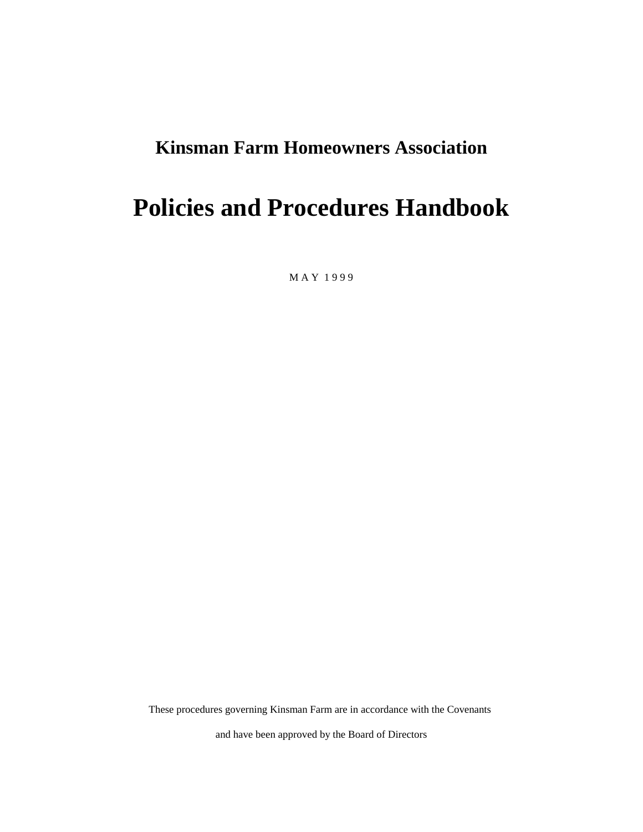# **Kinsman Farm Homeowners Association**

# **Policies and Procedures Handbook**

M A Y 1 9 9 9

These procedures governing Kinsman Farm are in accordance with the Covenants

and have been approved by the Board of Directors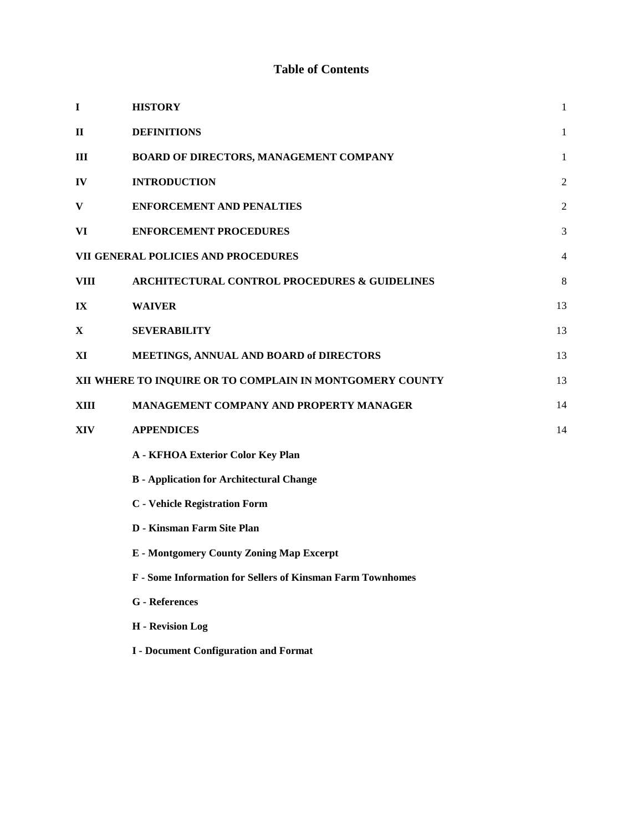# **Table of Contents**

| $\mathbf I$  | <b>HISTORY</b>                                             | 1              |
|--------------|------------------------------------------------------------|----------------|
| $\mathbf{I}$ | <b>DEFINITIONS</b>                                         | 1              |
| <b>III</b>   | BOARD OF DIRECTORS, MANAGEMENT COMPANY                     | 1              |
| IV           | <b>INTRODUCTION</b>                                        | 2              |
| $\mathbf{V}$ | <b>ENFORCEMENT AND PENALTIES</b>                           | $\overline{c}$ |
| VI           | <b>ENFORCEMENT PROCEDURES</b>                              | 3              |
|              | VII GENERAL POLICIES AND PROCEDURES                        | 4              |
| <b>VIII</b>  | <b>ARCHITECTURAL CONTROL PROCEDURES &amp; GUIDELINES</b>   | 8              |
| IX           | <b>WAIVER</b>                                              | 13             |
| X            | <b>SEVERABILITY</b>                                        | 13             |
| XI           | MEETINGS, ANNUAL AND BOARD of DIRECTORS                    | 13             |
|              | XII WHERE TO INQUIRE OR TO COMPLAIN IN MONTGOMERY COUNTY   | 13             |
| XIII         | <b>MANAGEMENT COMPANY AND PROPERTY MANAGER</b>             | 14             |
| <b>XIV</b>   | <b>APPENDICES</b>                                          | 14             |
|              | <b>A - KFHOA Exterior Color Key Plan</b>                   |                |
|              | <b>B</b> - Application for Architectural Change            |                |
|              | <b>C</b> - Vehicle Registration Form                       |                |
|              | <b>D</b> - Kinsman Farm Site Plan                          |                |
|              | <b>E</b> - Montgomery County Zoning Map Excerpt            |                |
|              | F - Some Information for Sellers of Kinsman Farm Townhomes |                |
|              | <b>G</b> - References                                      |                |
|              | H - Revision Log                                           |                |

**I - Document Configuration and Format**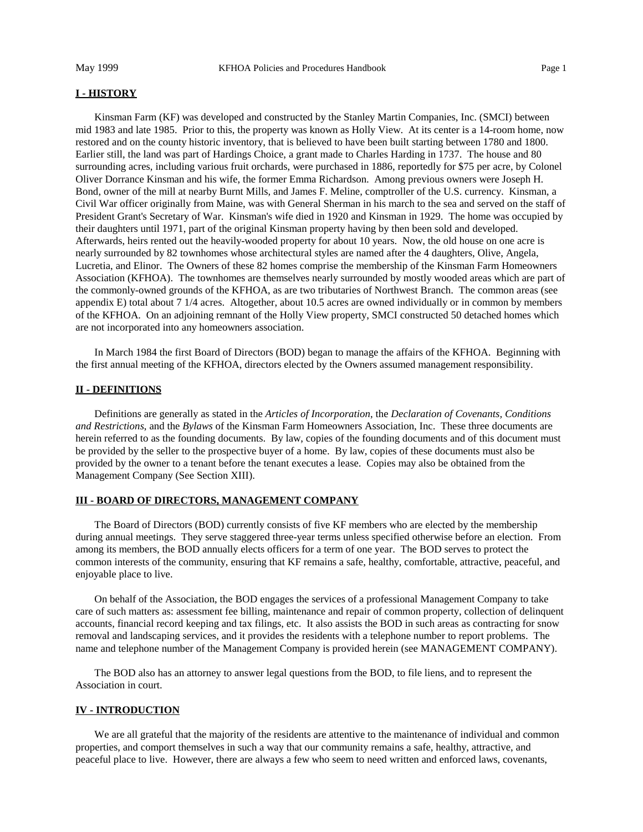#### **I - HISTORY**

Kinsman Farm (KF) was developed and constructed by the Stanley Martin Companies, Inc. (SMCI) between mid 1983 and late 1985. Prior to this, the property was known as Holly View. At its center is a 14-room home, now restored and on the county historic inventory, that is believed to have been built starting between 1780 and 1800. Earlier still, the land was part of Hardings Choice, a grant made to Charles Harding in 1737. The house and 80 surrounding acres, including various fruit orchards, were purchased in 1886, reportedly for \$75 per acre, by Colonel Oliver Dorrance Kinsman and his wife, the former Emma Richardson. Among previous owners were Joseph H. Bond, owner of the mill at nearby Burnt Mills, and James F. Meline, comptroller of the U.S. currency. Kinsman, a Civil War officer originally from Maine, was with General Sherman in his march to the sea and served on the staff of President Grant's Secretary of War. Kinsman's wife died in 1920 and Kinsman in 1929. The home was occupied by their daughters until 1971, part of the original Kinsman property having by then been sold and developed. Afterwards, heirs rented out the heavily-wooded property for about 10 years. Now, the old house on one acre is nearly surrounded by 82 townhomes whose architectural styles are named after the 4 daughters, Olive, Angela, Lucretia, and Elinor. The Owners of these 82 homes comprise the membership of the Kinsman Farm Homeowners Association (KFHOA). The townhomes are themselves nearly surrounded by mostly wooded areas which are part of the commonly-owned grounds of the KFHOA, as are two tributaries of Northwest Branch. The common areas (see appendix E) total about 7 1/4 acres. Altogether, about 10.5 acres are owned individually or in common by members of the KFHOA. On an adjoining remnant of the Holly View property, SMCI constructed 50 detached homes which are not incorporated into any homeowners association.

In March 1984 the first Board of Directors (BOD) began to manage the affairs of the KFHOA. Beginning with the first annual meeting of the KFHOA, directors elected by the Owners assumed management responsibility.

## **II - DEFINITIONS**

Definitions are generally as stated in the *Articles of Incorporation*, the *Declaration of Covenants, Conditions and Restrictions*, and the *Bylaws* of the Kinsman Farm Homeowners Association, Inc. These three documents are herein referred to as the founding documents. By law, copies of the founding documents and of this document must be provided by the seller to the prospective buyer of a home. By law, copies of these documents must also be provided by the owner to a tenant before the tenant executes a lease. Copies may also be obtained from the Management Company (See Section XIII).

## **III - BOARD OF DIRECTORS, MANAGEMENT COMPANY**

The Board of Directors (BOD) currently consists of five KF members who are elected by the membership during annual meetings. They serve staggered three-year terms unless specified otherwise before an election. From among its members, the BOD annually elects officers for a term of one year. The BOD serves to protect the common interests of the community, ensuring that KF remains a safe, healthy, comfortable, attractive, peaceful, and enjoyable place to live.

On behalf of the Association, the BOD engages the services of a professional Management Company to take care of such matters as: assessment fee billing, maintenance and repair of common property, collection of delinquent accounts, financial record keeping and tax filings, etc. It also assists the BOD in such areas as contracting for snow removal and landscaping services, and it provides the residents with a telephone number to report problems. The name and telephone number of the Management Company is provided herein (see MANAGEMENT COMPANY).

The BOD also has an attorney to answer legal questions from the BOD, to file liens, and to represent the Association in court.

## **IV - INTRODUCTION**

We are all grateful that the majority of the residents are attentive to the maintenance of individual and common properties, and comport themselves in such a way that our community remains a safe, healthy, attractive, and peaceful place to live. However, there are always a few who seem to need written and enforced laws, covenants,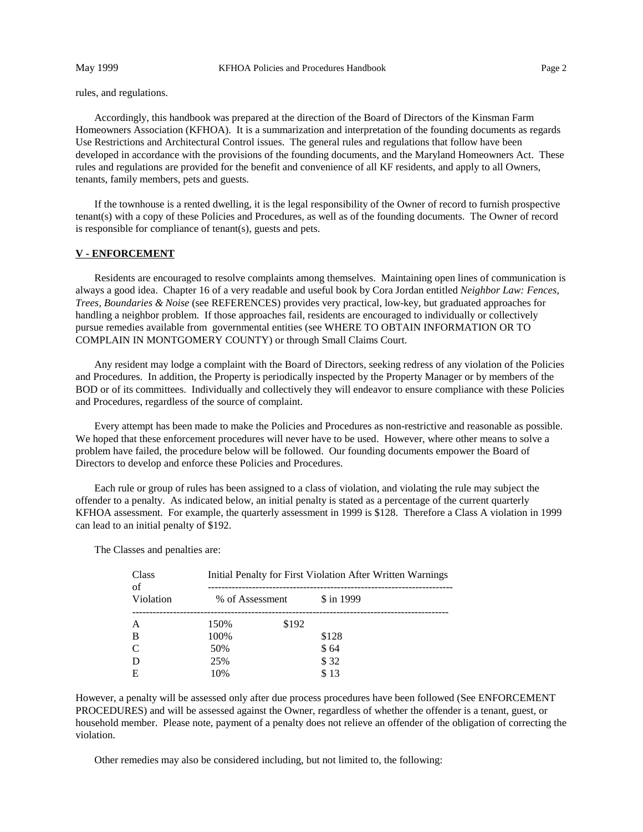rules, and regulations.

Accordingly, this handbook was prepared at the direction of the Board of Directors of the Kinsman Farm Homeowners Association (KFHOA). It is a summarization and interpretation of the founding documents as regards Use Restrictions and Architectural Control issues. The general rules and regulations that follow have been developed in accordance with the provisions of the founding documents, and the Maryland Homeowners Act. These rules and regulations are provided for the benefit and convenience of all KF residents, and apply to all Owners, tenants, family members, pets and guests.

If the townhouse is a rented dwelling, it is the legal responsibility of the Owner of record to furnish prospective tenant(s) with a copy of these Policies and Procedures, as well as of the founding documents. The Owner of record is responsible for compliance of tenant(s), guests and pets.

#### **V - ENFORCEMENT**

Residents are encouraged to resolve complaints among themselves. Maintaining open lines of communication is always a good idea. Chapter 16 of a very readable and useful book by Cora Jordan entitled *Neighbor Law: Fences, Trees, Boundaries & Noise* (see REFERENCES) provides very practical, low-key, but graduated approaches for handling a neighbor problem. If those approaches fail, residents are encouraged to individually or collectively pursue remedies available from governmental entities (see WHERE TO OBTAIN INFORMATION OR TO COMPLAIN IN MONTGOMERY COUNTY) or through Small Claims Court.

Any resident may lodge a complaint with the Board of Directors, seeking redress of any violation of the Policies and Procedures. In addition, the Property is periodically inspected by the Property Manager or by members of the BOD or of its committees. Individually and collectively they will endeavor to ensure compliance with these Policies and Procedures, regardless of the source of complaint.

Every attempt has been made to make the Policies and Procedures as non-restrictive and reasonable as possible. We hoped that these enforcement procedures will never have to be used. However, where other means to solve a problem have failed, the procedure below will be followed. Our founding documents empower the Board of Directors to develop and enforce these Policies and Procedures.

Each rule or group of rules has been assigned to a class of violation, and violating the rule may subject the offender to a penalty. As indicated below, an initial penalty is stated as a percentage of the current quarterly KFHOA assessment. For example, the quarterly assessment in 1999 is \$128. Therefore a Class A violation in 1999 can lead to an initial penalty of \$192.

The Classes and penalties are:

| Class<br>of | Initial Penalty for First Violation After Written Warnings |       |            |  |  |  |  |
|-------------|------------------------------------------------------------|-------|------------|--|--|--|--|
| Violation   | % of Assessment                                            |       | \$ in 1999 |  |  |  |  |
| A           | 150%                                                       | \$192 |            |  |  |  |  |
| B           | 100%                                                       |       | \$128      |  |  |  |  |
| C           | 50%                                                        |       | \$64       |  |  |  |  |
| D           | 25%                                                        |       | \$32       |  |  |  |  |
| E           | 10%                                                        |       | \$13       |  |  |  |  |

However, a penalty will be assessed only after due process procedures have been followed (See ENFORCEMENT PROCEDURES) and will be assessed against the Owner, regardless of whether the offender is a tenant, guest, or household member. Please note, payment of a penalty does not relieve an offender of the obligation of correcting the violation.

Other remedies may also be considered including, but not limited to, the following: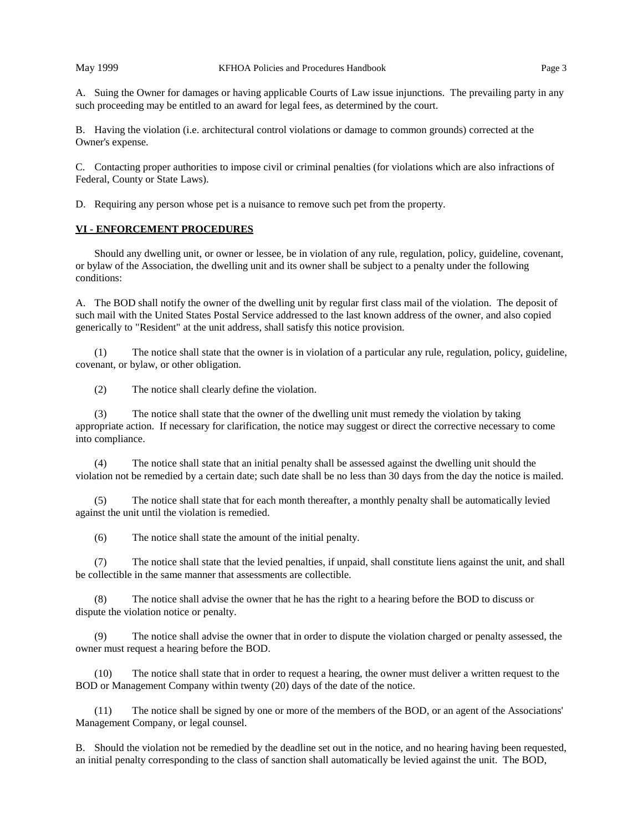B. Having the violation (i.e. architectural control violations or damage to common grounds) corrected at the Owner's expense.

C. Contacting proper authorities to impose civil or criminal penalties (for violations which are also infractions of Federal, County or State Laws).

D. Requiring any person whose pet is a nuisance to remove such pet from the property.

# **VI - ENFORCEMENT PROCEDURES**

Should any dwelling unit, or owner or lessee, be in violation of any rule, regulation, policy, guideline, covenant, or bylaw of the Association, the dwelling unit and its owner shall be subject to a penalty under the following conditions:

A. The BOD shall notify the owner of the dwelling unit by regular first class mail of the violation. The deposit of such mail with the United States Postal Service addressed to the last known address of the owner, and also copied generically to "Resident" at the unit address, shall satisfy this notice provision.

(1) The notice shall state that the owner is in violation of a particular any rule, regulation, policy, guideline, covenant, or bylaw, or other obligation.

(2) The notice shall clearly define the violation.

(3) The notice shall state that the owner of the dwelling unit must remedy the violation by taking appropriate action. If necessary for clarification, the notice may suggest or direct the corrective necessary to come into compliance.

(4) The notice shall state that an initial penalty shall be assessed against the dwelling unit should the violation not be remedied by a certain date; such date shall be no less than 30 days from the day the notice is mailed.

(5) The notice shall state that for each month thereafter, a monthly penalty shall be automatically levied against the unit until the violation is remedied.

(6) The notice shall state the amount of the initial penalty.

(7) The notice shall state that the levied penalties, if unpaid, shall constitute liens against the unit, and shall be collectible in the same manner that assessments are collectible.

(8) The notice shall advise the owner that he has the right to a hearing before the BOD to discuss or dispute the violation notice or penalty.

(9) The notice shall advise the owner that in order to dispute the violation charged or penalty assessed, the owner must request a hearing before the BOD.

(10) The notice shall state that in order to request a hearing, the owner must deliver a written request to the BOD or Management Company within twenty (20) days of the date of the notice.

(11) The notice shall be signed by one or more of the members of the BOD, or an agent of the Associations' Management Company, or legal counsel.

B. Should the violation not be remedied by the deadline set out in the notice, and no hearing having been requested, an initial penalty corresponding to the class of sanction shall automatically be levied against the unit. The BOD,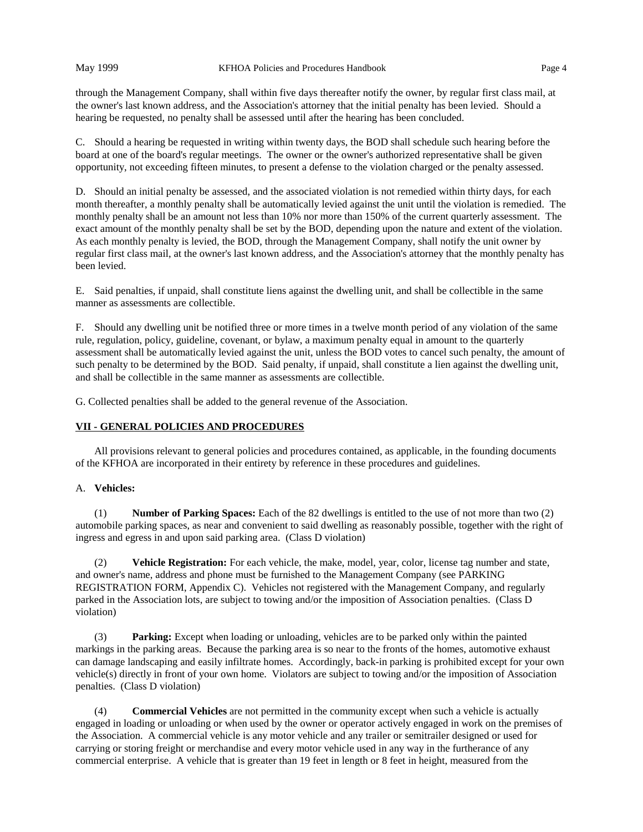through the Management Company, shall within five days thereafter notify the owner, by regular first class mail, at the owner's last known address, and the Association's attorney that the initial penalty has been levied. Should a hearing be requested, no penalty shall be assessed until after the hearing has been concluded.

C. Should a hearing be requested in writing within twenty days, the BOD shall schedule such hearing before the board at one of the board's regular meetings. The owner or the owner's authorized representative shall be given opportunity, not exceeding fifteen minutes, to present a defense to the violation charged or the penalty assessed.

D. Should an initial penalty be assessed, and the associated violation is not remedied within thirty days, for each month thereafter, a monthly penalty shall be automatically levied against the unit until the violation is remedied. The monthly penalty shall be an amount not less than 10% nor more than 150% of the current quarterly assessment. The exact amount of the monthly penalty shall be set by the BOD, depending upon the nature and extent of the violation. As each monthly penalty is levied, the BOD, through the Management Company, shall notify the unit owner by regular first class mail, at the owner's last known address, and the Association's attorney that the monthly penalty has been levied.

E. Said penalties, if unpaid, shall constitute liens against the dwelling unit, and shall be collectible in the same manner as assessments are collectible.

F. Should any dwelling unit be notified three or more times in a twelve month period of any violation of the same rule, regulation, policy, guideline, covenant, or bylaw, a maximum penalty equal in amount to the quarterly assessment shall be automatically levied against the unit, unless the BOD votes to cancel such penalty, the amount of such penalty to be determined by the BOD. Said penalty, if unpaid, shall constitute a lien against the dwelling unit, and shall be collectible in the same manner as assessments are collectible.

G. Collected penalties shall be added to the general revenue of the Association.

# **VII - GENERAL POLICIES AND PROCEDURES**

All provisions relevant to general policies and procedures contained, as applicable, in the founding documents of the KFHOA are incorporated in their entirety by reference in these procedures and guidelines.

# A. **Vehicles:**

(1) **Number of Parking Spaces:** Each of the 82 dwellings is entitled to the use of not more than two (2) automobile parking spaces, as near and convenient to said dwelling as reasonably possible, together with the right of ingress and egress in and upon said parking area. (Class D violation)

(2) **Vehicle Registration:** For each vehicle, the make, model, year, color, license tag number and state, and owner's name, address and phone must be furnished to the Management Company (see PARKING REGISTRATION FORM, Appendix C). Vehicles not registered with the Management Company, and regularly parked in the Association lots, are subject to towing and/or the imposition of Association penalties. (Class D violation)

(3) **Parking:** Except when loading or unloading, vehicles are to be parked only within the painted markings in the parking areas. Because the parking area is so near to the fronts of the homes, automotive exhaust can damage landscaping and easily infiltrate homes. Accordingly, back-in parking is prohibited except for your own vehicle(s) directly in front of your own home. Violators are subject to towing and/or the imposition of Association penalties. (Class D violation)

(4) **Commercial Vehicles** are not permitted in the community except when such a vehicle is actually engaged in loading or unloading or when used by the owner or operator actively engaged in work on the premises of the Association. A commercial vehicle is any motor vehicle and any trailer or semitrailer designed or used for carrying or storing freight or merchandise and every motor vehicle used in any way in the furtherance of any commercial enterprise. A vehicle that is greater than 19 feet in length or 8 feet in height, measured from the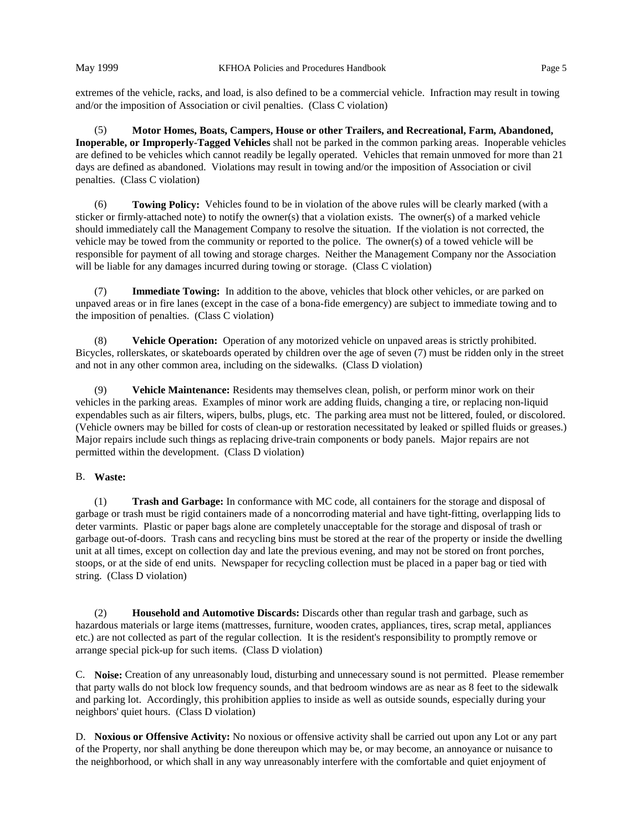extremes of the vehicle, racks, and load, is also defined to be a commercial vehicle. Infraction may result in towing and/or the imposition of Association or civil penalties. (Class C violation)

(5) **Motor Homes, Boats, Campers, House or other Trailers, and Recreational, Farm, Abandoned, Inoperable, or Improperly-Tagged Vehicles** shall not be parked in the common parking areas. Inoperable vehicles are defined to be vehicles which cannot readily be legally operated. Vehicles that remain unmoved for more than 21 days are defined as abandoned. Violations may result in towing and/or the imposition of Association or civil penalties. (Class C violation)

(6) **Towing Policy:** Vehicles found to be in violation of the above rules will be clearly marked (with a sticker or firmly-attached note) to notify the owner(s) that a violation exists. The owner(s) of a marked vehicle should immediately call the Management Company to resolve the situation. If the violation is not corrected, the vehicle may be towed from the community or reported to the police. The owner(s) of a towed vehicle will be responsible for payment of all towing and storage charges. Neither the Management Company nor the Association will be liable for any damages incurred during towing or storage. (Class C violation)

(7) **Immediate Towing:** In addition to the above, vehicles that block other vehicles, or are parked on unpaved areas or in fire lanes (except in the case of a bona-fide emergency) are subject to immediate towing and to the imposition of penalties. (Class C violation)

(8) **Vehicle Operation:** Operation of any motorized vehicle on unpaved areas is strictly prohibited. Bicycles, rollerskates, or skateboards operated by children over the age of seven (7) must be ridden only in the street and not in any other common area, including on the sidewalks. (Class D violation)

(9) **Vehicle Maintenance:** Residents may themselves clean, polish, or perform minor work on their vehicles in the parking areas. Examples of minor work are adding fluids, changing a tire, or replacing non-liquid expendables such as air filters, wipers, bulbs, plugs, etc. The parking area must not be littered, fouled, or discolored. (Vehicle owners may be billed for costs of clean-up or restoration necessitated by leaked or spilled fluids or greases.) Major repairs include such things as replacing drive-train components or body panels. Major repairs are not permitted within the development. (Class D violation)

# B. **Waste:**

(1) **Trash and Garbage:** In conformance with MC code, all containers for the storage and disposal of garbage or trash must be rigid containers made of a noncorroding material and have tight-fitting, overlapping lids to deter varmints. Plastic or paper bags alone are completely unacceptable for the storage and disposal of trash or garbage out-of-doors. Trash cans and recycling bins must be stored at the rear of the property or inside the dwelling unit at all times, except on collection day and late the previous evening, and may not be stored on front porches, stoops, or at the side of end units. Newspaper for recycling collection must be placed in a paper bag or tied with string. (Class D violation)

(2) **Household and Automotive Discards:** Discards other than regular trash and garbage, such as hazardous materials or large items (mattresses, furniture, wooden crates, appliances, tires, scrap metal, appliances etc.) are not collected as part of the regular collection. It is the resident's responsibility to promptly remove or arrange special pick-up for such items. (Class D violation)

C. **Noise:** Creation of any unreasonably loud, disturbing and unnecessary sound is not permitted. Please remember that party walls do not block low frequency sounds, and that bedroom windows are as near as 8 feet to the sidewalk and parking lot. Accordingly, this prohibition applies to inside as well as outside sounds, especially during your neighbors' quiet hours. (Class D violation)

D. **Noxious or Offensive Activity:** No noxious or offensive activity shall be carried out upon any Lot or any part of the Property, nor shall anything be done thereupon which may be, or may become, an annoyance or nuisance to the neighborhood, or which shall in any way unreasonably interfere with the comfortable and quiet enjoyment of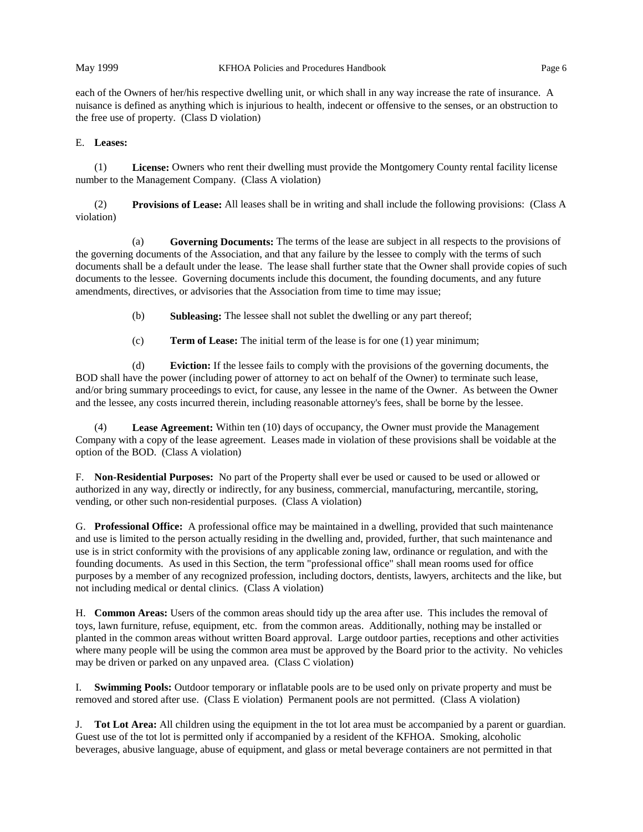each of the Owners of her/his respective dwelling unit, or which shall in any way increase the rate of insurance. A nuisance is defined as anything which is injurious to health, indecent or offensive to the senses, or an obstruction to the free use of property. (Class D violation)

### E. **Leases:**

(1) **License:** Owners who rent their dwelling must provide the Montgomery County rental facility license number to the Management Company. (Class A violation)

(2) **Provisions of Lease:** All leases shall be in writing and shall include the following provisions: (Class A violation)

(a) **Governing Documents:** The terms of the lease are subject in all respects to the provisions of the governing documents of the Association, and that any failure by the lessee to comply with the terms of such documents shall be a default under the lease. The lease shall further state that the Owner shall provide copies of such documents to the lessee. Governing documents include this document, the founding documents, and any future amendments, directives, or advisories that the Association from time to time may issue;

(b) **Subleasing:** The lessee shall not sublet the dwelling or any part thereof;

(c) **Term of Lease:** The initial term of the lease is for one (1) year minimum;

(d) **Eviction:** If the lessee fails to comply with the provisions of the governing documents, the BOD shall have the power (including power of attorney to act on behalf of the Owner) to terminate such lease, and/or bring summary proceedings to evict, for cause, any lessee in the name of the Owner. As between the Owner and the lessee, any costs incurred therein, including reasonable attorney's fees, shall be borne by the lessee.

(4) **Lease Agreement:** Within ten (10) days of occupancy, the Owner must provide the Management Company with a copy of the lease agreement. Leases made in violation of these provisions shall be voidable at the option of the BOD. (Class A violation)

F. **Non-Residential Purposes:** No part of the Property shall ever be used or caused to be used or allowed or authorized in any way, directly or indirectly, for any business, commercial, manufacturing, mercantile, storing, vending, or other such non-residential purposes. (Class A violation)

G. **Professional Office:** A professional office may be maintained in a dwelling, provided that such maintenance and use is limited to the person actually residing in the dwelling and, provided, further, that such maintenance and use is in strict conformity with the provisions of any applicable zoning law, ordinance or regulation, and with the founding documents. As used in this Section, the term "professional office" shall mean rooms used for office purposes by a member of any recognized profession, including doctors, dentists, lawyers, architects and the like, but not including medical or dental clinics. (Class A violation)

H. **Common Areas:** Users of the common areas should tidy up the area after use. This includes the removal of toys, lawn furniture, refuse, equipment, etc. from the common areas. Additionally, nothing may be installed or planted in the common areas without written Board approval. Large outdoor parties, receptions and other activities where many people will be using the common area must be approved by the Board prior to the activity. No vehicles may be driven or parked on any unpaved area. (Class C violation)

I. **Swimming Pools:** Outdoor temporary or inflatable pools are to be used only on private property and must be removed and stored after use. (Class E violation) Permanent pools are not permitted. (Class A violation)

J. **Tot Lot Area:** All children using the equipment in the tot lot area must be accompanied by a parent or guardian. Guest use of the tot lot is permitted only if accompanied by a resident of the KFHOA. Smoking, alcoholic beverages, abusive language, abuse of equipment, and glass or metal beverage containers are not permitted in that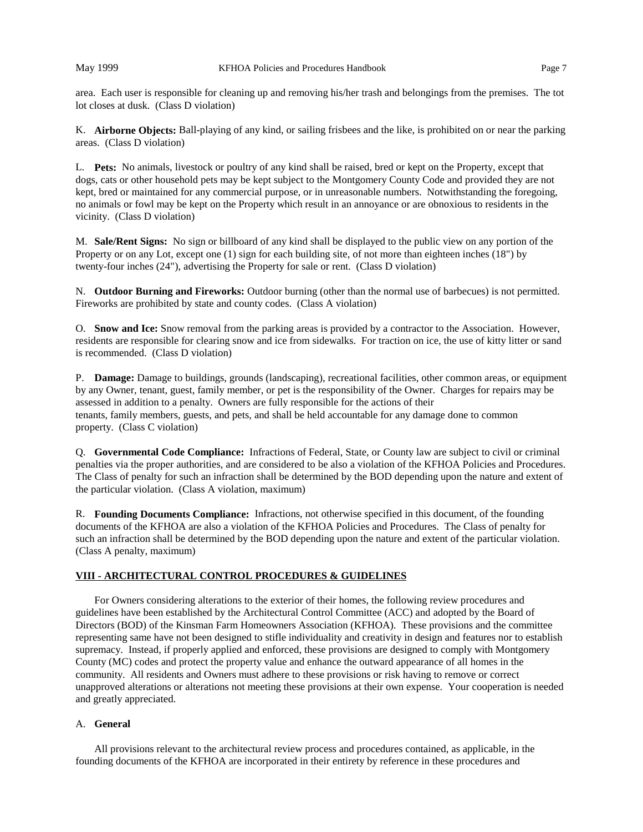area. Each user is responsible for cleaning up and removing his/her trash and belongings from the premises. The tot lot closes at dusk. (Class D violation)

K. **Airborne Objects:** Ball-playing of any kind, or sailing frisbees and the like, is prohibited on or near the parking areas. (Class D violation)

L. **Pets:** No animals, livestock or poultry of any kind shall be raised, bred or kept on the Property, except that dogs, cats or other household pets may be kept subject to the Montgomery County Code and provided they are not kept, bred or maintained for any commercial purpose, or in unreasonable numbers. Notwithstanding the foregoing, no animals or fowl may be kept on the Property which result in an annoyance or are obnoxious to residents in the vicinity. (Class D violation)

M. **Sale/Rent Signs:** No sign or billboard of any kind shall be displayed to the public view on any portion of the Property or on any Lot, except one (1) sign for each building site, of not more than eighteen inches (18") by twenty-four inches (24"), advertising the Property for sale or rent. (Class D violation)

N. **Outdoor Burning and Fireworks:** Outdoor burning (other than the normal use of barbecues) is not permitted. Fireworks are prohibited by state and county codes. (Class A violation)

O. **Snow and Ice:** Snow removal from the parking areas is provided by a contractor to the Association. However, residents are responsible for clearing snow and ice from sidewalks. For traction on ice, the use of kitty litter or sand is recommended. (Class D violation)

P. **Damage:** Damage to buildings, grounds (landscaping), recreational facilities, other common areas, or equipment by any Owner, tenant, guest, family member, or pet is the responsibility of the Owner. Charges for repairs may be assessed in addition to a penalty. Owners are fully responsible for the actions of their tenants, family members, guests, and pets, and shall be held accountable for any damage done to common property. (Class C violation)

Q. **Governmental Code Compliance:** Infractions of Federal, State, or County law are subject to civil or criminal penalties via the proper authorities, and are considered to be also a violation of the KFHOA Policies and Procedures. The Class of penalty for such an infraction shall be determined by the BOD depending upon the nature and extent of the particular violation. (Class A violation, maximum)

R. **Founding Documents Compliance:** Infractions, not otherwise specified in this document, of the founding documents of the KFHOA are also a violation of the KFHOA Policies and Procedures. The Class of penalty for such an infraction shall be determined by the BOD depending upon the nature and extent of the particular violation. (Class A penalty, maximum)

# **VIII - ARCHITECTURAL CONTROL PROCEDURES & GUIDELINES**

For Owners considering alterations to the exterior of their homes, the following review procedures and guidelines have been established by the Architectural Control Committee (ACC) and adopted by the Board of Directors (BOD) of the Kinsman Farm Homeowners Association (KFHOA). These provisions and the committee representing same have not been designed to stifle individuality and creativity in design and features nor to establish supremacy. Instead, if properly applied and enforced, these provisions are designed to comply with Montgomery County (MC) codes and protect the property value and enhance the outward appearance of all homes in the community. All residents and Owners must adhere to these provisions or risk having to remove or correct unapproved alterations or alterations not meeting these provisions at their own expense. Your cooperation is needed and greatly appreciated.

## A. **General**

All provisions relevant to the architectural review process and procedures contained, as applicable, in the founding documents of the KFHOA are incorporated in their entirety by reference in these procedures and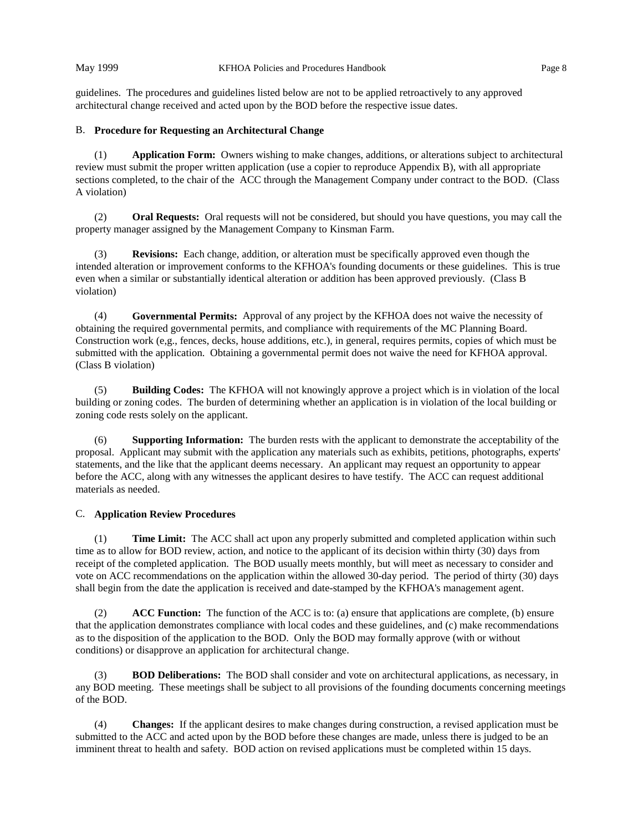guidelines. The procedures and guidelines listed below are not to be applied retroactively to any approved architectural change received and acted upon by the BOD before the respective issue dates.

# B. **Procedure for Requesting an Architectural Change**

(1) **Application Form:** Owners wishing to make changes, additions, or alterations subject to architectural review must submit the proper written application (use a copier to reproduce Appendix B), with all appropriate sections completed, to the chair of the ACC through the Management Company under contract to the BOD. (Class A violation)

(2) **Oral Requests:** Oral requests will not be considered, but should you have questions, you may call the property manager assigned by the Management Company to Kinsman Farm.

(3) **Revisions:** Each change, addition, or alteration must be specifically approved even though the intended alteration or improvement conforms to the KFHOA's founding documents or these guidelines. This is true even when a similar or substantially identical alteration or addition has been approved previously. (Class B violation)

(4) **Governmental Permits:** Approval of any project by the KFHOA does not waive the necessity of obtaining the required governmental permits, and compliance with requirements of the MC Planning Board. Construction work (e,g., fences, decks, house additions, etc.), in general, requires permits, copies of which must be submitted with the application. Obtaining a governmental permit does not waive the need for KFHOA approval. (Class B violation)

(5) **Building Codes:** The KFHOA will not knowingly approve a project which is in violation of the local building or zoning codes. The burden of determining whether an application is in violation of the local building or zoning code rests solely on the applicant.

(6) **Supporting Information:** The burden rests with the applicant to demonstrate the acceptability of the proposal. Applicant may submit with the application any materials such as exhibits, petitions, photographs, experts' statements, and the like that the applicant deems necessary. An applicant may request an opportunity to appear before the ACC, along with any witnesses the applicant desires to have testify. The ACC can request additional materials as needed.

# C. **Application Review Procedures**

(1) **Time Limit:** The ACC shall act upon any properly submitted and completed application within such time as to allow for BOD review, action, and notice to the applicant of its decision within thirty (30) days from receipt of the completed application. The BOD usually meets monthly, but will meet as necessary to consider and vote on ACC recommendations on the application within the allowed 30-day period. The period of thirty (30) days shall begin from the date the application is received and date-stamped by the KFHOA's management agent.

(2) **ACC Function:** The function of the ACC is to: (a) ensure that applications are complete, (b) ensure that the application demonstrates compliance with local codes and these guidelines, and (c) make recommendations as to the disposition of the application to the BOD. Only the BOD may formally approve (with or without conditions) or disapprove an application for architectural change.

(3) **BOD Deliberations:** The BOD shall consider and vote on architectural applications, as necessary, in any BOD meeting. These meetings shall be subject to all provisions of the founding documents concerning meetings of the BOD.

(4) **Changes:** If the applicant desires to make changes during construction, a revised application must be submitted to the ACC and acted upon by the BOD before these changes are made, unless there is judged to be an imminent threat to health and safety. BOD action on revised applications must be completed within 15 days.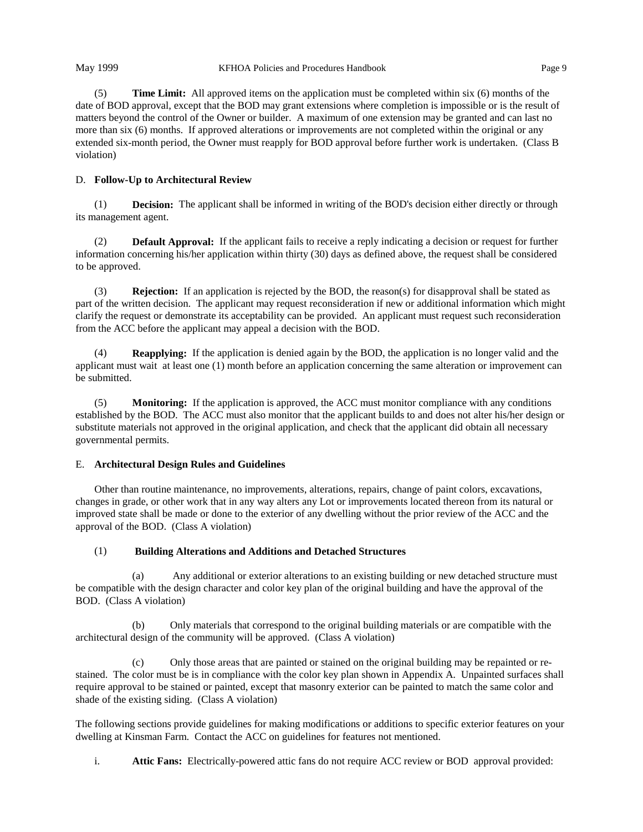(5) **Time Limit:** All approved items on the application must be completed within six (6) months of the date of BOD approval, except that the BOD may grant extensions where completion is impossible or is the result of matters beyond the control of the Owner or builder. A maximum of one extension may be granted and can last no more than six (6) months. If approved alterations or improvements are not completed within the original or any extended six-month period, the Owner must reapply for BOD approval before further work is undertaken. (Class B violation)

# D. **Follow-Up to Architectural Review**

(1) **Decision:** The applicant shall be informed in writing of the BOD's decision either directly or through its management agent.

(2) **Default Approval:** If the applicant fails to receive a reply indicating a decision or request for further information concerning his/her application within thirty (30) days as defined above, the request shall be considered to be approved.

(3) **Rejection:** If an application is rejected by the BOD, the reason(s) for disapproval shall be stated as part of the written decision. The applicant may request reconsideration if new or additional information which might clarify the request or demonstrate its acceptability can be provided. An applicant must request such reconsideration from the ACC before the applicant may appeal a decision with the BOD.

**Reapplying:** If the application is denied again by the BOD, the application is no longer valid and the applicant must wait at least one (1) month before an application concerning the same alteration or improvement can be submitted.

(5) **Monitoring:** If the application is approved, the ACC must monitor compliance with any conditions established by the BOD. The ACC must also monitor that the applicant builds to and does not alter his/her design or substitute materials not approved in the original application, and check that the applicant did obtain all necessary governmental permits.

### E. **Architectural Design Rules and Guidelines**

Other than routine maintenance, no improvements, alterations, repairs, change of paint colors, excavations, changes in grade, or other work that in any way alters any Lot or improvements located thereon from its natural or improved state shall be made or done to the exterior of any dwelling without the prior review of the ACC and the approval of the BOD. (Class A violation)

# (1) **Building Alterations and Additions and Detached Structures**

(a) Any additional or exterior alterations to an existing building or new detached structure must be compatible with the design character and color key plan of the original building and have the approval of the BOD. (Class A violation)

(b) Only materials that correspond to the original building materials or are compatible with the architectural design of the community will be approved. (Class A violation)

(c) Only those areas that are painted or stained on the original building may be repainted or restained. The color must be is in compliance with the color key plan shown in Appendix A. Unpainted surfaces shall require approval to be stained or painted, except that masonry exterior can be painted to match the same color and shade of the existing siding. (Class A violation)

The following sections provide guidelines for making modifications or additions to specific exterior features on your dwelling at Kinsman Farm. Contact the ACC on guidelines for features not mentioned.

i. **Attic Fans:** Electrically-powered attic fans do not require ACC review or BOD approval provided: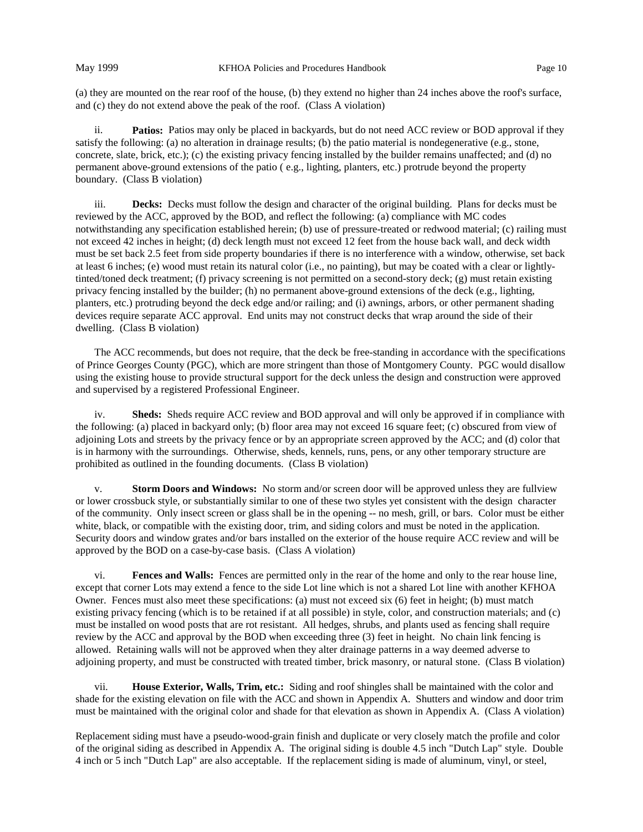(a) they are mounted on the rear roof of the house, (b) they extend no higher than 24 inches above the roof's surface, and (c) they do not extend above the peak of the roof. (Class A violation)

ii. **Patios:** Patios may only be placed in backyards, but do not need ACC review or BOD approval if they satisfy the following: (a) no alteration in drainage results; (b) the patio material is nondegenerative (e.g., stone, concrete, slate, brick, etc.); (c) the existing privacy fencing installed by the builder remains unaffected; and (d) no permanent above-ground extensions of the patio ( e.g., lighting, planters, etc.) protrude beyond the property boundary. (Class B violation)

iii. **Decks:** Decks must follow the design and character of the original building. Plans for decks must be reviewed by the ACC, approved by the BOD, and reflect the following: (a) compliance with MC codes notwithstanding any specification established herein; (b) use of pressure-treated or redwood material; (c) railing must not exceed 42 inches in height; (d) deck length must not exceed 12 feet from the house back wall, and deck width must be set back 2.5 feet from side property boundaries if there is no interference with a window, otherwise, set back at least 6 inches; (e) wood must retain its natural color (i.e., no painting), but may be coated with a clear or lightlytinted/toned deck treatment; (f) privacy screening is not permitted on a second-story deck; (g) must retain existing privacy fencing installed by the builder; (h) no permanent above-ground extensions of the deck (e.g., lighting, planters, etc.) protruding beyond the deck edge and/or railing; and (i) awnings, arbors, or other permanent shading devices require separate ACC approval. End units may not construct decks that wrap around the side of their dwelling. (Class B violation)

The ACC recommends, but does not require, that the deck be free-standing in accordance with the specifications of Prince Georges County (PGC), which are more stringent than those of Montgomery County. PGC would disallow using the existing house to provide structural support for the deck unless the design and construction were approved and supervised by a registered Professional Engineer.

iv. **Sheds:** Sheds require ACC review and BOD approval and will only be approved if in compliance with the following: (a) placed in backyard only; (b) floor area may not exceed 16 square feet; (c) obscured from view of adjoining Lots and streets by the privacy fence or by an appropriate screen approved by the ACC; and (d) color that is in harmony with the surroundings. Otherwise, sheds, kennels, runs, pens, or any other temporary structure are prohibited as outlined in the founding documents. (Class B violation)

v. **Storm Doors and Windows:** No storm and/or screen door will be approved unless they are fullview or lower crossbuck style, or substantially similar to one of these two styles yet consistent with the design character of the community. Only insect screen or glass shall be in the opening -- no mesh, grill, or bars. Color must be either white, black, or compatible with the existing door, trim, and siding colors and must be noted in the application. Security doors and window grates and/or bars installed on the exterior of the house require ACC review and will be approved by the BOD on a case-by-case basis. (Class A violation)

vi. **Fences and Walls:** Fences are permitted only in the rear of the home and only to the rear house line, except that corner Lots may extend a fence to the side Lot line which is not a shared Lot line with another KFHOA Owner. Fences must also meet these specifications: (a) must not exceed six (6) feet in height; (b) must match existing privacy fencing (which is to be retained if at all possible) in style, color, and construction materials; and (c) must be installed on wood posts that are rot resistant. All hedges, shrubs, and plants used as fencing shall require review by the ACC and approval by the BOD when exceeding three (3) feet in height. No chain link fencing is allowed. Retaining walls will not be approved when they alter drainage patterns in a way deemed adverse to adjoining property, and must be constructed with treated timber, brick masonry, or natural stone. (Class B violation)

vii. **House Exterior, Walls, Trim, etc.:** Siding and roof shingles shall be maintained with the color and shade for the existing elevation on file with the ACC and shown in Appendix A. Shutters and window and door trim must be maintained with the original color and shade for that elevation as shown in Appendix A. (Class A violation)

Replacement siding must have a pseudo-wood-grain finish and duplicate or very closely match the profile and color of the original siding as described in Appendix A. The original siding is double 4.5 inch "Dutch Lap" style. Double 4 inch or 5 inch "Dutch Lap" are also acceptable. If the replacement siding is made of aluminum, vinyl, or steel,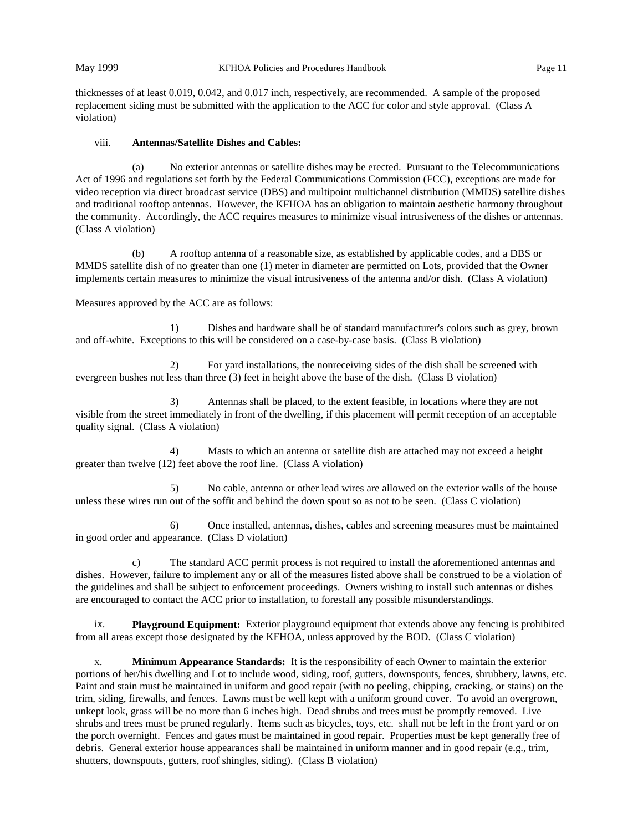thicknesses of at least 0.019, 0.042, and 0.017 inch, respectively, are recommended. A sample of the proposed replacement siding must be submitted with the application to the ACC for color and style approval. (Class A violation)

## viii. **Antennas/Satellite Dishes and Cables:**

(a) No exterior antennas or satellite dishes may be erected. Pursuant to the Telecommunications Act of 1996 and regulations set forth by the Federal Communications Commission (FCC), exceptions are made for video reception via direct broadcast service (DBS) and multipoint multichannel distribution (MMDS) satellite dishes and traditional rooftop antennas. However, the KFHOA has an obligation to maintain aesthetic harmony throughout the community. Accordingly, the ACC requires measures to minimize visual intrusiveness of the dishes or antennas. (Class A violation)

(b) A rooftop antenna of a reasonable size, as established by applicable codes, and a DBS or MMDS satellite dish of no greater than one (1) meter in diameter are permitted on Lots, provided that the Owner implements certain measures to minimize the visual intrusiveness of the antenna and/or dish. (Class A violation)

Measures approved by the ACC are as follows:

1) Dishes and hardware shall be of standard manufacturer's colors such as grey, brown and off-white. Exceptions to this will be considered on a case-by-case basis. (Class B violation)

2) For yard installations, the nonreceiving sides of the dish shall be screened with evergreen bushes not less than three (3) feet in height above the base of the dish. (Class B violation)

3) Antennas shall be placed, to the extent feasible, in locations where they are not visible from the street immediately in front of the dwelling, if this placement will permit reception of an acceptable quality signal. (Class A violation)

4) Masts to which an antenna or satellite dish are attached may not exceed a height greater than twelve (12) feet above the roof line. (Class A violation)

5) No cable, antenna or other lead wires are allowed on the exterior walls of the house unless these wires run out of the soffit and behind the down spout so as not to be seen. (Class C violation)

6) Once installed, antennas, dishes, cables and screening measures must be maintained in good order and appearance. (Class D violation)

c) The standard ACC permit process is not required to install the aforementioned antennas and dishes. However, failure to implement any or all of the measures listed above shall be construed to be a violation of the guidelines and shall be subject to enforcement proceedings. Owners wishing to install such antennas or dishes are encouraged to contact the ACC prior to installation, to forestall any possible misunderstandings.

ix. **Playground Equipment:** Exterior playground equipment that extends above any fencing is prohibited from all areas except those designated by the KFHOA, unless approved by the BOD. (Class C violation)

x. **Minimum Appearance Standards:** It is the responsibility of each Owner to maintain the exterior portions of her/his dwelling and Lot to include wood, siding, roof, gutters, downspouts, fences, shrubbery, lawns, etc. Paint and stain must be maintained in uniform and good repair (with no peeling, chipping, cracking, or stains) on the trim, siding, firewalls, and fences. Lawns must be well kept with a uniform ground cover. To avoid an overgrown, unkept look, grass will be no more than 6 inches high. Dead shrubs and trees must be promptly removed. Live shrubs and trees must be pruned regularly. Items such as bicycles, toys, etc. shall not be left in the front yard or on the porch overnight. Fences and gates must be maintained in good repair. Properties must be kept generally free of debris. General exterior house appearances shall be maintained in uniform manner and in good repair (e.g., trim, shutters, downspouts, gutters, roof shingles, siding). (Class B violation)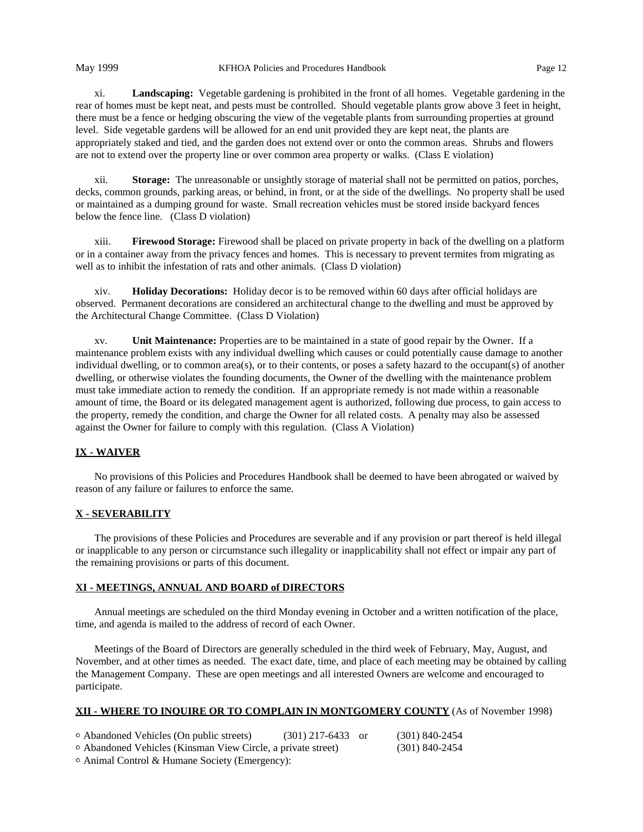xi. **Landscaping:** Vegetable gardening is prohibited in the front of all homes. Vegetable gardening in the rear of homes must be kept neat, and pests must be controlled. Should vegetable plants grow above 3 feet in height, there must be a fence or hedging obscuring the view of the vegetable plants from surrounding properties at ground level. Side vegetable gardens will be allowed for an end unit provided they are kept neat, the plants are appropriately staked and tied, and the garden does not extend over or onto the common areas. Shrubs and flowers are not to extend over the property line or over common area property or walks. (Class E violation)

xii. **Storage:** The unreasonable or unsightly storage of material shall not be permitted on patios, porches, decks, common grounds, parking areas, or behind, in front, or at the side of the dwellings. No property shall be used or maintained as a dumping ground for waste. Small recreation vehicles must be stored inside backyard fences below the fence line. (Class D violation)

xiii. **Firewood Storage:** Firewood shall be placed on private property in back of the dwelling on a platform or in a container away from the privacy fences and homes. This is necessary to prevent termites from migrating as well as to inhibit the infestation of rats and other animals. (Class D violation)

xiv. **Holiday Decorations:** Holiday decor is to be removed within 60 days after official holidays are observed. Permanent decorations are considered an architectural change to the dwelling and must be approved by the Architectural Change Committee. (Class D Violation)

xv. **Unit Maintenance:** Properties are to be maintained in a state of good repair by the Owner. If a maintenance problem exists with any individual dwelling which causes or could potentially cause damage to another individual dwelling, or to common area(s), or to their contents, or poses a safety hazard to the occupant(s) of another dwelling, or otherwise violates the founding documents, the Owner of the dwelling with the maintenance problem must take immediate action to remedy the condition. If an appropriate remedy is not made within a reasonable amount of time, the Board or its delegated management agent is authorized, following due process, to gain access to the property, remedy the condition, and charge the Owner for all related costs. A penalty may also be assessed against the Owner for failure to comply with this regulation. (Class A Violation)

# **IX - WAIVER**

No provisions of this Policies and Procedures Handbook shall be deemed to have been abrogated or waived by reason of any failure or failures to enforce the same.

# **X - SEVERABILITY**

The provisions of these Policies and Procedures are severable and if any provision or part thereof is held illegal or inapplicable to any person or circumstance such illegality or inapplicability shall not effect or impair any part of the remaining provisions or parts of this document.

### **XI - MEETINGS, ANNUAL AND BOARD of DIRECTORS**

Annual meetings are scheduled on the third Monday evening in October and a written notification of the place, time, and agenda is mailed to the address of record of each Owner.

Meetings of the Board of Directors are generally scheduled in the third week of February, May, August, and November, and at other times as needed. The exact date, time, and place of each meeting may be obtained by calling the Management Company. These are open meetings and all interested Owners are welcome and encouraged to participate.

# **XII - WHERE TO INQUIRE OR TO COMPLAIN IN MONTGOMERY COUNTY** (As of November 1998)

| ○ Abandoned Vehicles (On public streets)                     | $(301)$ 217-6433 or | $(301)$ 840-2454 |
|--------------------------------------------------------------|---------------------|------------------|
| ○ Abandoned Vehicles (Kinsman View Circle, a private street) |                     | (301) 840-2454   |
| $\sim$ $\sim$ $\sim$ $\sim$                                  |                     |                  |

<sup>1</sup> Animal Control & Humane Society (Emergency):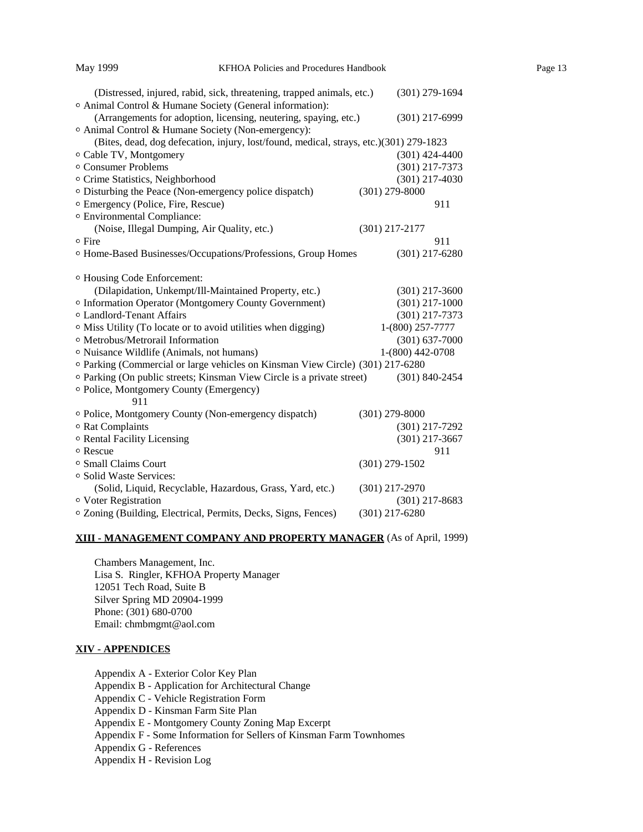| (Distressed, injured, rabid, sick, threatening, trapped animals, etc.)                 | $(301)$ 279-1694   |
|----------------------------------------------------------------------------------------|--------------------|
| O Animal Control & Humane Society (General information):                               |                    |
| (Arrangements for adoption, licensing, neutering, spaying, etc.)                       | $(301)$ 217-6999   |
| <sup>o</sup> Animal Control & Humane Society (Non-emergency):                          |                    |
| (Bites, dead, dog defecation, injury, lost/found, medical, strays, etc.)(301) 279-1823 |                    |
| <sup>o</sup> Cable TV, Montgomery                                                      | $(301)$ 424-4400   |
| <sup>o</sup> Consumer Problems                                                         | $(301)$ 217-7373   |
| <sup>o</sup> Crime Statistics, Neighborhood                                            | $(301)$ 217-4030   |
| <sup>o</sup> Disturbing the Peace (Non-emergency police dispatch)                      | $(301)$ 279-8000   |
| <sup>o</sup> Emergency (Police, Fire, Rescue)                                          | 911                |
| <sup>o</sup> Environmental Compliance:                                                 |                    |
| (Noise, Illegal Dumping, Air Quality, etc.)                                            | $(301)$ 217-2177   |
| ∘ Fire                                                                                 | 911                |
| <sup>o</sup> Home-Based Businesses/Occupations/Professions, Group Homes                | $(301)$ 217-6280   |
|                                                                                        |                    |
| <sup>o</sup> Housing Code Enforcement:                                                 |                    |
| (Dilapidation, Unkempt/Ill-Maintained Property, etc.)                                  | $(301)$ 217-3600   |
| <sup>o</sup> Information Operator (Montgomery County Government)                       | $(301)$ 217-1000   |
| <sup>o</sup> Landlord-Tenant Affairs                                                   | $(301)$ 217-7373   |
| <sup>o</sup> Miss Utility (To locate or to avoid utilities when digging)               | 1-(800) 257-7777   |
| <sup>o</sup> Metrobus/Metrorail Information                                            | $(301) 637 - 7000$ |
| o Nuisance Wildlife (Animals, not humans)                                              | 1-(800) 442-0708   |
| o Parking (Commercial or large vehicles on Kinsman View Circle) (301) 217-6280         |                    |
| o Parking (On public streets; Kinsman View Circle is a private street)                 | $(301) 840 - 2454$ |
| <sup>o</sup> Police, Montgomery County (Emergency)                                     |                    |
| 911                                                                                    |                    |
| o Police, Montgomery County (Non-emergency dispatch)                                   | $(301)$ 279-8000   |
| <sup>o</sup> Rat Complaints                                                            | $(301)$ 217-7292   |
| <sup>o</sup> Rental Facility Licensing                                                 | $(301)$ 217-3667   |
| o Rescue                                                                               | 911                |
| <sup>o</sup> Small Claims Court                                                        | $(301) 279 - 1502$ |
| o Solid Waste Services:                                                                |                    |
| (Solid, Liquid, Recyclable, Hazardous, Grass, Yard, etc.)                              | $(301)$ 217-2970   |
| o Voter Registration                                                                   | $(301)$ 217-8683   |
| o Zoning (Building, Electrical, Permits, Decks, Signs, Fences)                         | $(301)$ 217-6280   |
|                                                                                        |                    |

# **XIII - MANAGEMENT COMPANY AND PROPERTY MANAGER** (As of April, 1999)

Chambers Management, Inc. Lisa S. Ringler, KFHOA Property Manager 12051 Tech Road, Suite B Silver Spring MD 20904-1999 Phone: (301) 680-0700 Email: chmbmgmt@aol.com

### **XIV - APPENDICES**

Appendix A - Exterior Color Key Plan Appendix B - Application for Architectural Change Appendix C - Vehicle Registration Form Appendix D - Kinsman Farm Site Plan Appendix E - Montgomery County Zoning Map Excerpt Appendix F - Some Information for Sellers of Kinsman Farm Townhomes Appendix G - References Appendix H - Revision Log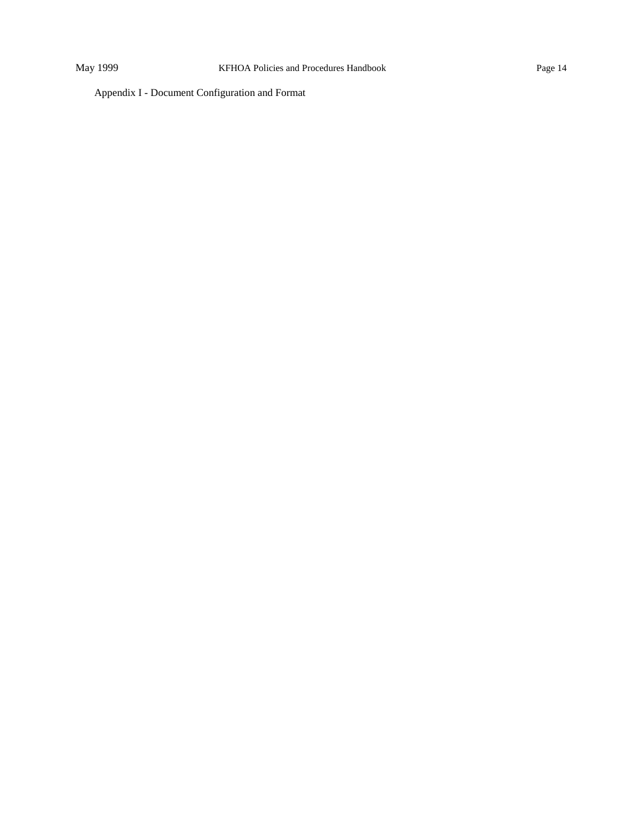Appendix I - Document Configuration and Format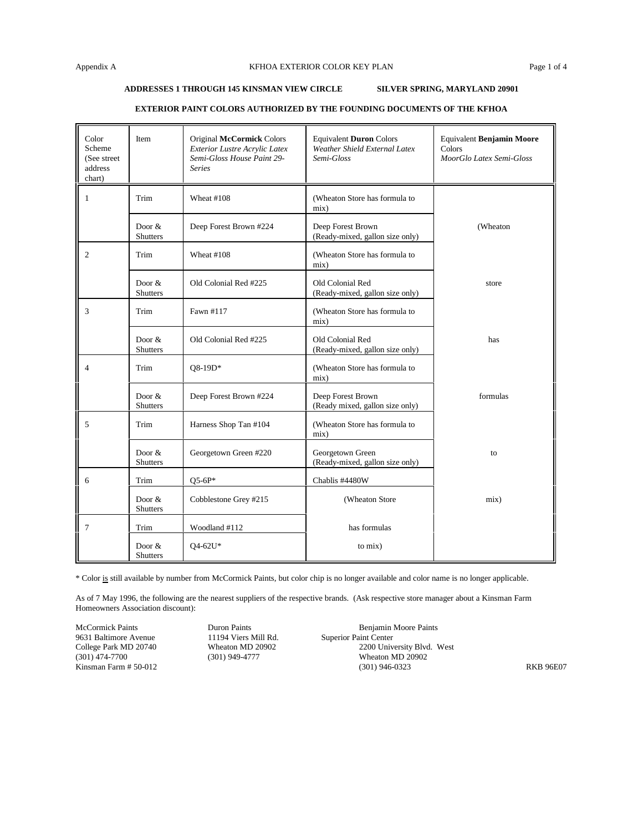#### **ADDRESSES 1 THROUGH 145 KINSMAN VIEW CIRCLE SILVER SPRING, MARYLAND 20901**

| Color<br>Scheme<br>(See street)<br>address<br>chart) | Item                        | Original McCormick Colors<br>Exterior Lustre Acrylic Latex<br>Semi-Gloss House Paint 29-<br><b>Series</b> | <b>Equivalent Duron Colors</b><br>Weather Shield External Latex<br>Semi-Gloss | Equivalent Benjamin Moore<br>Colors<br>MoorGlo Latex Semi-Gloss |
|------------------------------------------------------|-----------------------------|-----------------------------------------------------------------------------------------------------------|-------------------------------------------------------------------------------|-----------------------------------------------------------------|
| 1                                                    | Trim                        | Wheat #108                                                                                                | (Wheaton Store has formula to<br>mix)                                         |                                                                 |
|                                                      | Door $&$<br>Shutters        | Deep Forest Brown #224                                                                                    | Deep Forest Brown<br>(Ready-mixed, gallon size only)                          | (Wheaton                                                        |
| $\overline{2}$                                       | Trim                        | Wheat #108                                                                                                | (Wheaton Store has formula to<br>mix)                                         |                                                                 |
|                                                      | Door $&$<br>Shutters        | Old Colonial Red #225                                                                                     | Old Colonial Red<br>(Ready-mixed, gallon size only)                           | store                                                           |
| 3                                                    | Trim                        | Fawn #117                                                                                                 | (Wheaton Store has formula to<br>mix)                                         |                                                                 |
|                                                      | Door $&$<br>Shutters        | Old Colonial Red #225                                                                                     | Old Colonial Red<br>(Ready-mixed, gallon size only)                           | has                                                             |
| $\overline{4}$                                       | Trim                        | O8-19D*                                                                                                   | (Wheaton Store has formula to<br>mix)                                         |                                                                 |
|                                                      | Door $&$<br><b>Shutters</b> | Deep Forest Brown #224                                                                                    | Deep Forest Brown<br>(Ready mixed, gallon size only)                          | formulas                                                        |
| 5                                                    | Trim                        | Harness Shop Tan #104                                                                                     | (Wheaton Store has formula to<br>mix)                                         |                                                                 |
|                                                      | Door $&$<br><b>Shutters</b> | Georgetown Green #220                                                                                     | Georgetown Green<br>(Ready-mixed, gallon size only)                           | to                                                              |
| 6                                                    | Trim                        | $Q5-6P*$                                                                                                  | Chablis #4480W                                                                |                                                                 |
|                                                      | Door $&$<br>Shutters        | Cobblestone Grey #215                                                                                     | (Wheaton Store                                                                | mix)                                                            |
| $\tau$                                               | Trim                        | Woodland #112                                                                                             | has formulas                                                                  |                                                                 |
|                                                      | Door $&$<br><b>Shutters</b> | Q4-62U*                                                                                                   | to mix)                                                                       |                                                                 |

#### **EXTERIOR PAINT COLORS AUTHORIZED BY THE FOUNDING DOCUMENTS OF THE KFHOA**

\* Color is still available by number from McCormick Paints, but color chip is no longer available and color name is no longer applicable.

As of 7 May 1996, the following are the nearest suppliers of the respective brands. (Ask respective store manager about a Kinsman Farm Homeowners Association discount):

9631 Baltimore Avenue 11194 Viers Mill Rd. Superior Paint Center

McCormick Paints **Duron Paints** Duron Paints **Benjamin Moore Paints** College Park MD 20740 Wheaton MD 20902 2200 University Blvd. West (301) 474-7700 (301) 949-4777 Wheaton MD 20902 Wheaton MD 20902<br>(301) 946-0323 Kinsman Farm # 50-012 RKB 96E07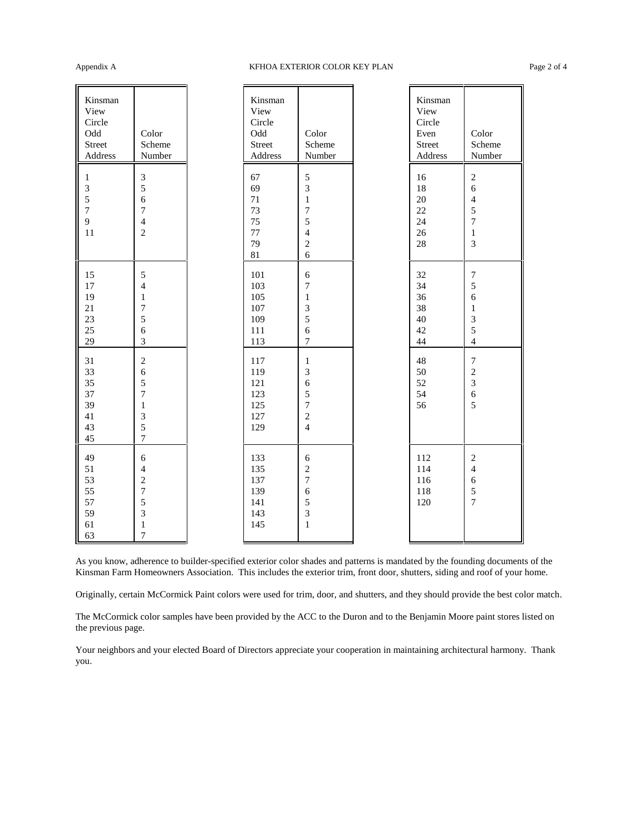# Appendix A Research COLOR KEY PLAN Page 2 of 4

| Kinsman<br>View<br>Circle<br>Odd<br>Street<br>Address | Color<br>Scheme<br>Number                                                                             | Kinsman<br>View<br>Circle<br>Odd<br>Street<br>Address | Color<br>Scheme<br>Number                                                            | Kinsman<br>View<br>Circle<br>Even<br>Street<br>Address | Color<br>Scheme<br>Number                                                                        |
|-------------------------------------------------------|-------------------------------------------------------------------------------------------------------|-------------------------------------------------------|--------------------------------------------------------------------------------------|--------------------------------------------------------|--------------------------------------------------------------------------------------------------|
| $\mathbf{1}$<br>3<br>5<br>$\overline{7}$<br>9<br>11   | $\mathfrak{Z}$<br>5<br>6<br>$\overline{7}$<br>$\overline{4}$<br>$\overline{c}$                        | 67<br>69<br>71<br>73<br>75<br>77<br>79<br>81          | 5<br>3<br>$\,1$<br>$\overline{7}$<br>5<br>$\overline{4}$<br>$\sqrt{2}$<br>$\sqrt{6}$ | 16<br>18<br>20<br>22<br>24<br>26<br>28                 | $\overline{2}$<br>6<br>$\overline{4}$<br>$\sqrt{5}$<br>$\overline{7}$<br>$\,1$<br>$\mathfrak{Z}$ |
| 15<br>17<br>19<br>21<br>23<br>25<br>29                | 5<br>$\overline{4}$<br>$\mathbf{1}$<br>7<br>5<br>6<br>$\overline{3}$                                  | 101<br>103<br>105<br>107<br>109<br>111<br>113         | 6<br>7<br>$\mathbf{1}$<br>3<br>5<br>$\overline{6}$<br>$\overline{7}$                 | 32<br>34<br>36<br>38<br>40<br>42<br>44                 | $\tau$<br>$\sqrt{5}$<br>6<br>$\mathbf{1}$<br>$\mathfrak{Z}$<br>5<br>$\overline{4}$               |
| 31<br>33<br>35<br>37<br>39<br>41<br>43<br>45          | $\overline{2}$<br>6<br>5<br>$\boldsymbol{7}$<br>$\mathbf{1}$<br>$\mathfrak{Z}$<br>5<br>$\overline{7}$ | 117<br>119<br>121<br>123<br>125<br>127<br>129         | $\,1$<br>3<br>6<br>5<br>$\overline{7}$<br>$\sqrt{2}$<br>$\overline{4}$               | 48<br>50<br>52<br>54<br>56                             | $\boldsymbol{7}$<br>$\sqrt{2}$<br>$\mathfrak{Z}$<br>$\sqrt{6}$<br>5                              |
| 49<br>51<br>53<br>55<br>57<br>59<br>61<br>63          | $\sqrt{6}$<br>$\overline{4}$<br>$\overline{c}$<br>$\boldsymbol{7}$<br>5<br>3<br>$\mathbf{1}$<br>7     | 133<br>135<br>137<br>139<br>141<br>143<br>145         | 6<br>$\overline{c}$<br>$\boldsymbol{7}$<br>6<br>5<br>3<br>$\,1$                      | 112<br>114<br>116<br>118<br>120                        | $\overline{2}$<br>$\overline{4}$<br>$\sqrt{6}$<br>5<br>$\overline{7}$                            |

As you know, adherence to builder-specified exterior color shades and patterns is mandated by the founding documents of the Kinsman Farm Homeowners Association. This includes the exterior trim, front door, shutters, siding and roof of your home.

Originally, certain McCormick Paint colors were used for trim, door, and shutters, and they should provide the best color match.

The McCormick color samples have been provided by the ACC to the Duron and to the Benjamin Moore paint stores listed on the previous page.

Your neighbors and your elected Board of Directors appreciate your cooperation in maintaining architectural harmony. Thank you.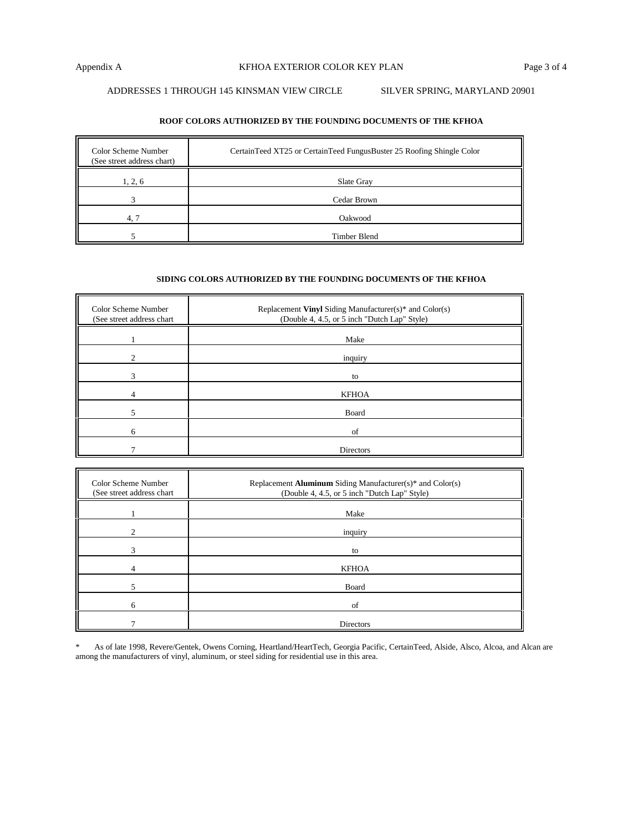# ADDRESSES 1 THROUGH 145 KINSMAN VIEW CIRCLE SILVER SPRING, MARYLAND 20901

# **ROOF COLORS AUTHORIZED BY THE FOUNDING DOCUMENTS OF THE KFHOA**

| Color Scheme Number<br>(See street address chart) | CertainTeed XT25 or CertainTeed FungusBuster 25 Roofing Shingle Color |
|---------------------------------------------------|-----------------------------------------------------------------------|
| 1, 2, 6                                           | Slate Gray                                                            |
|                                                   | Cedar Brown                                                           |
| 4.7                                               | Oakwood                                                               |
|                                                   | Timber Blend                                                          |

# **SIDING COLORS AUTHORIZED BY THE FOUNDING DOCUMENTS OF THE KFHOA**

| Color Scheme Number<br>(See street address chart | Replacement Vinyl Siding Manufacturer(s)* and Color(s)<br>(Double 4, 4.5, or 5 inch "Dutch Lap" Style) |
|--------------------------------------------------|--------------------------------------------------------------------------------------------------------|
|                                                  | Make                                                                                                   |
|                                                  | inquiry                                                                                                |
|                                                  | to                                                                                                     |
|                                                  | <b>KFHOA</b>                                                                                           |
|                                                  | Board                                                                                                  |
| 6                                                | of                                                                                                     |
|                                                  | Directors                                                                                              |

| Color Scheme Number<br>(See street address chart | Replacement Aluminum Siding Manufacturer(s)* and Color(s)<br>(Double 4, 4.5, or 5 inch "Dutch Lap" Style) |
|--------------------------------------------------|-----------------------------------------------------------------------------------------------------------|
|                                                  | Make                                                                                                      |
| ◠                                                | inquiry                                                                                                   |
|                                                  | to                                                                                                        |
|                                                  | <b>KFHOA</b>                                                                                              |
|                                                  | Board                                                                                                     |
| 6                                                | of                                                                                                        |
|                                                  | Directors                                                                                                 |

\* As of late 1998, Revere/Gentek, Owens Corning, Heartland/HeartTech, Georgia Pacific, CertainTeed, Alside, Alsco, Alcoa, and Alcan are among the manufacturers of vinyl, aluminum, or steel siding for residential use in this area.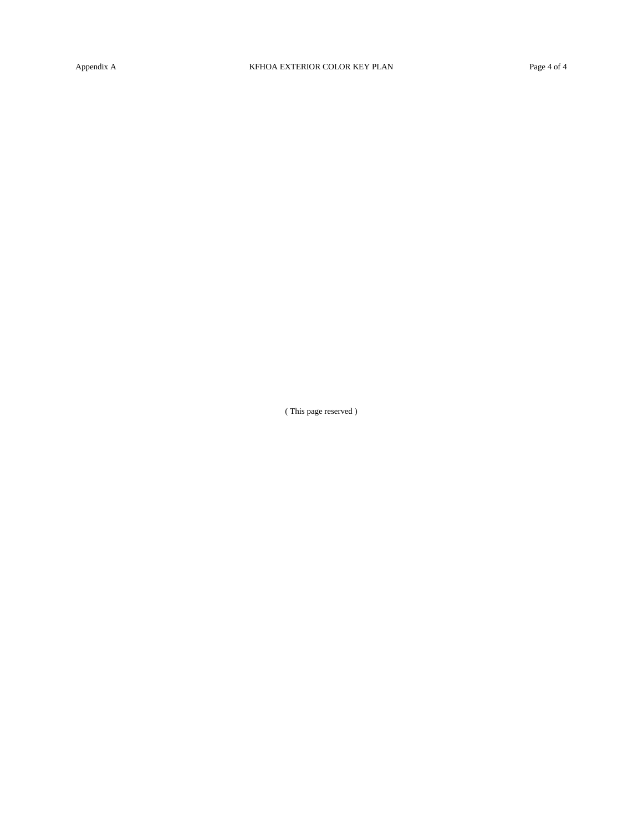( This page reserved )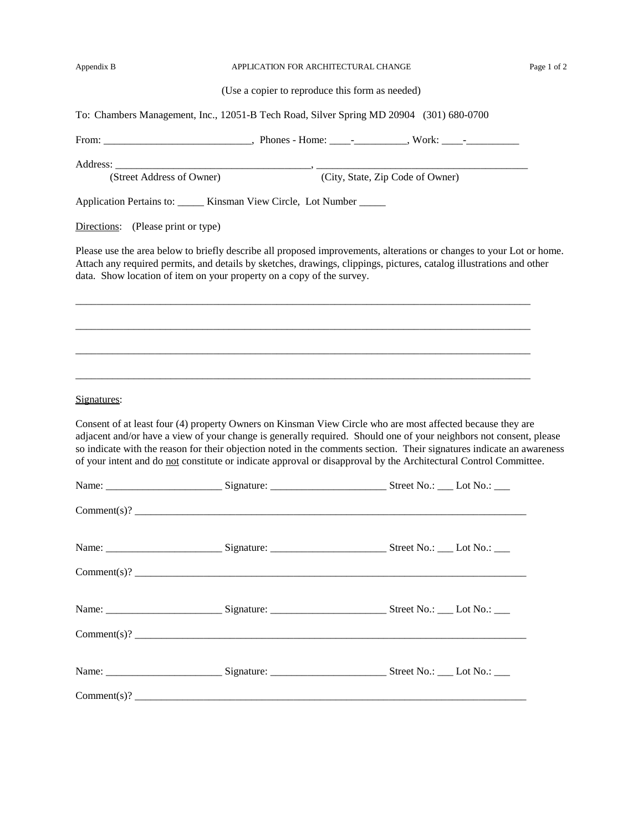|  | Appendix B |  |
|--|------------|--|
|  |            |  |

#### APPLICATION FOR ARCHITECTURAL CHANGE Page 1 of 2

|  |  |  |  |  | (Use a copier to reproduce this form as needed) |  |  |
|--|--|--|--|--|-------------------------------------------------|--|--|
|  |  |  |  |  |                                                 |  |  |
|  |  |  |  |  |                                                 |  |  |
|  |  |  |  |  |                                                 |  |  |

To: Chambers Management, Inc., 12051-B Tech Road, Silver Spring MD 20904 (301) 680-0700

From: The contract From: The contract of the Phones - Home:  $\overline{\phantom{a}}$  - The contract of the SN  $\overline{\phantom{a}}$  -  $\overline{\phantom{a}}$  work:  $\overline{\phantom{a}}$  -Address: \_\_\_\_\_\_\_\_\_\_\_\_\_\_\_\_\_\_\_\_\_\_\_\_\_\_\_\_\_\_\_\_\_\_\_\_\_, \_\_\_\_\_\_\_\_\_\_\_\_\_\_\_\_\_\_\_\_\_\_\_\_\_\_\_\_\_\_\_\_\_\_\_\_\_\_\_\_ (Street Address of Owner) (City, State, Zip Code of Owner) Application Pertains to: \_\_\_\_\_\_ Kinsman View Circle, Lot Number \_\_\_\_\_\_ Directions: (Please print or type) Please use the area below to briefly describe all proposed improvements, alterations or changes to your Lot or home. Attach any required permits, and details by sketches, drawings, clippings, pictures, catalog illustrations and other data. Show location of item on your property on a copy of the survey. \_\_\_\_\_\_\_\_\_\_\_\_\_\_\_\_\_\_\_\_\_\_\_\_\_\_\_\_\_\_\_\_\_\_\_\_\_\_\_\_\_\_\_\_\_\_\_\_\_\_\_\_\_\_\_\_\_\_\_\_\_\_\_\_\_\_\_\_\_\_\_\_\_\_\_\_\_\_\_\_\_\_\_\_\_\_ \_\_\_\_\_\_\_\_\_\_\_\_\_\_\_\_\_\_\_\_\_\_\_\_\_\_\_\_\_\_\_\_\_\_\_\_\_\_\_\_\_\_\_\_\_\_\_\_\_\_\_\_\_\_\_\_\_\_\_\_\_\_\_\_\_\_\_\_\_\_\_\_\_\_\_\_\_\_\_\_\_\_\_\_\_\_ \_\_\_\_\_\_\_\_\_\_\_\_\_\_\_\_\_\_\_\_\_\_\_\_\_\_\_\_\_\_\_\_\_\_\_\_\_\_\_\_\_\_\_\_\_\_\_\_\_\_\_\_\_\_\_\_\_\_\_\_\_\_\_\_\_\_\_\_\_\_\_\_\_\_\_\_\_\_\_\_\_\_\_\_\_\_ \_\_\_\_\_\_\_\_\_\_\_\_\_\_\_\_\_\_\_\_\_\_\_\_\_\_\_\_\_\_\_\_\_\_\_\_\_\_\_\_\_\_\_\_\_\_\_\_\_\_\_\_\_\_\_\_\_\_\_\_\_\_\_\_\_\_\_\_\_\_\_\_\_\_\_\_\_\_\_\_\_\_\_\_\_\_ Signatures: Consent of at least four (4) property Owners on Kinsman View Circle who are most affected because they are adjacent and/or have a view of your change is generally required. Should one of your neighbors not consent, please so indicate with the reason for their objection noted in the comments section. Their signatures indicate an awareness of your intent and do not constitute or indicate approval or disapproval by the Architectural Control Committee. Name: \_\_\_\_\_\_\_\_\_\_\_\_\_\_\_\_\_\_\_\_\_\_ Signature: \_\_\_\_\_\_\_\_\_\_\_\_\_\_\_\_\_\_\_\_\_\_ Street No.: \_\_\_ Lot No.: \_\_\_  $Comment(s)?$ Name: Signature: Signature: Signature: Street No.: Lot No.: \_\_\_ Lot No.: \_\_\_  $Comment(s)? \n $\overline{\phantom{a}}$$ Name: Signature: Signature: Signature: Signature: Street No.: Lot No.: \_\_\_  $Comment(s)? \ncommand(s)$ Name: \_\_\_\_\_\_\_\_\_\_\_\_\_\_\_\_\_\_\_\_\_\_ Signature: \_\_\_\_\_\_\_\_\_\_\_\_\_\_\_\_\_\_\_\_\_\_ Street No.: \_\_\_ Lot No.: \_\_\_  $Comment(s)? \nightharpoonup$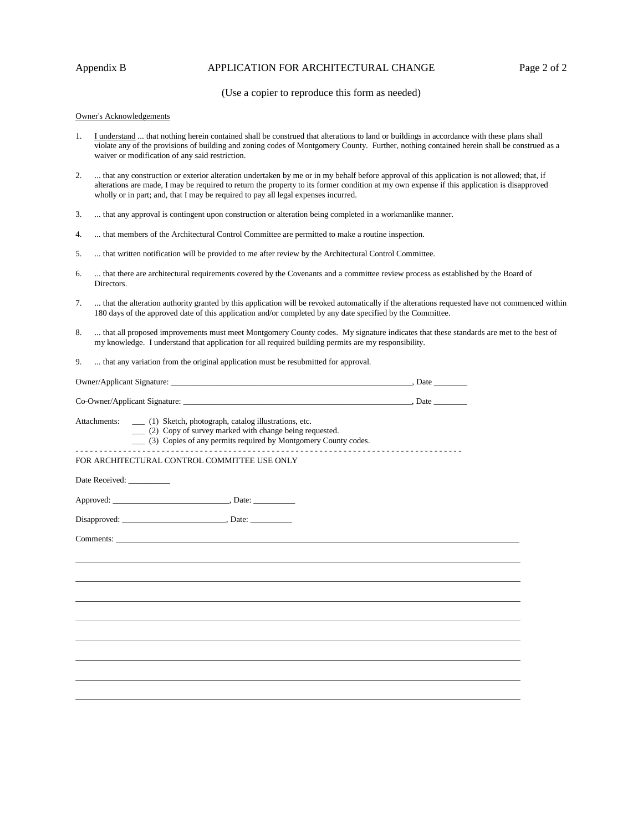# Appendix B **APPLICATION FOR ARCHITECTURAL CHANGE** Page 2 of 2

# (Use a copier to reproduce this form as needed)

#### Owner's Acknowledgements

- 1. I understand ... that nothing herein contained shall be construed that alterations to land or buildings in accordance with these plans shall violate any of the provisions of building and zoning codes of Montgomery County. Further, nothing contained herein shall be construed as a waiver or modification of any said restriction.
- 2. ... that any construction or exterior alteration undertaken by me or in my behalf before approval of this application is not allowed; that, if alterations are made, I may be required to return the property to its former condition at my own expense if this application is disapproved wholly or in part; and, that I may be required to pay all legal expenses incurred.
- 3. ... that any approval is contingent upon construction or alteration being completed in a workmanlike manner.
- 4. ... that members of the Architectural Control Committee are permitted to make a routine inspection.
- 5. ... that written notification will be provided to me after review by the Architectural Control Committee.
- 6. ... that there are architectural requirements covered by the Covenants and a committee review process as established by the Board of Directors.
- 7. ... that the alteration authority granted by this application will be revoked automatically if the alterations requested have not commenced within 180 days of the approved date of this application and/or completed by any date specified by the Committee.
- 8. ... that all proposed improvements must meet Montgomery County codes. My signature indicates that these standards are met to the best of my knowledge. I understand that application for all required building permits are my responsibility.
- 9. ... that any variation from the original application must be resubmitted for approval.

| Owner/Applicant Signature: | Date |  |
|----------------------------|------|--|
|                            |      |  |

Co-Owner/Applicant Signature: \_\_\_\_\_\_\_\_\_\_\_\_\_\_\_\_\_\_\_\_\_\_\_\_\_\_\_\_\_\_\_\_\_\_\_\_\_\_\_\_\_\_\_\_\_\_\_\_\_\_\_\_\_\_\_, Date \_\_\_\_\_\_\_\_

Attachments: \_\_\_ (1) Sketch, photograph, catalog illustrations, etc.

\_\_\_ (2) Copy of survey marked with change being requested.

\_\_\_ (3) Copies of any permits required by Montgomery County codes.

- - - - - - - - - - - - - - - - - - - - - - - - - - - - - - - - - - - - - - - - - - - - - - - - - - - - - - - - - - - - - - - - - - - - - - - - - - - - - - - - -

\_\_\_\_\_\_\_\_\_\_\_\_\_\_\_\_\_\_\_\_\_\_\_\_\_\_\_\_\_\_\_\_\_\_\_\_\_\_\_\_\_\_\_\_\_\_\_\_\_\_\_\_\_\_\_\_\_\_\_\_\_\_\_\_\_\_\_\_\_\_\_\_\_\_\_\_\_\_\_\_\_\_\_\_\_\_\_\_\_\_\_\_\_\_\_\_\_\_\_\_\_\_\_\_\_\_\_ \_\_\_\_\_\_\_\_\_\_\_\_\_\_\_\_\_\_\_\_\_\_\_\_\_\_\_\_\_\_\_\_\_\_\_\_\_\_\_\_\_\_\_\_\_\_\_\_\_\_\_\_\_\_\_\_\_\_\_\_\_\_\_\_\_\_\_\_\_\_\_\_\_\_\_\_\_\_\_\_\_\_\_\_\_\_\_\_\_\_\_\_\_\_\_\_\_\_\_\_\_\_\_\_\_\_\_ \_\_\_\_\_\_\_\_\_\_\_\_\_\_\_\_\_\_\_\_\_\_\_\_\_\_\_\_\_\_\_\_\_\_\_\_\_\_\_\_\_\_\_\_\_\_\_\_\_\_\_\_\_\_\_\_\_\_\_\_\_\_\_\_\_\_\_\_\_\_\_\_\_\_\_\_\_\_\_\_\_\_\_\_\_\_\_\_\_\_\_\_\_\_\_\_\_\_\_\_\_\_\_\_\_\_\_ \_\_\_\_\_\_\_\_\_\_\_\_\_\_\_\_\_\_\_\_\_\_\_\_\_\_\_\_\_\_\_\_\_\_\_\_\_\_\_\_\_\_\_\_\_\_\_\_\_\_\_\_\_\_\_\_\_\_\_\_\_\_\_\_\_\_\_\_\_\_\_\_\_\_\_\_\_\_\_\_\_\_\_\_\_\_\_\_\_\_\_\_\_\_\_\_\_\_\_\_\_\_\_\_\_\_\_ \_\_\_\_\_\_\_\_\_\_\_\_\_\_\_\_\_\_\_\_\_\_\_\_\_\_\_\_\_\_\_\_\_\_\_\_\_\_\_\_\_\_\_\_\_\_\_\_\_\_\_\_\_\_\_\_\_\_\_\_\_\_\_\_\_\_\_\_\_\_\_\_\_\_\_\_\_\_\_\_\_\_\_\_\_\_\_\_\_\_\_\_\_\_\_\_\_\_\_\_\_\_\_\_\_\_\_ \_\_\_\_\_\_\_\_\_\_\_\_\_\_\_\_\_\_\_\_\_\_\_\_\_\_\_\_\_\_\_\_\_\_\_\_\_\_\_\_\_\_\_\_\_\_\_\_\_\_\_\_\_\_\_\_\_\_\_\_\_\_\_\_\_\_\_\_\_\_\_\_\_\_\_\_\_\_\_\_\_\_\_\_\_\_\_\_\_\_\_\_\_\_\_\_\_\_\_\_\_\_\_\_\_\_\_ \_\_\_\_\_\_\_\_\_\_\_\_\_\_\_\_\_\_\_\_\_\_\_\_\_\_\_\_\_\_\_\_\_\_\_\_\_\_\_\_\_\_\_\_\_\_\_\_\_\_\_\_\_\_\_\_\_\_\_\_\_\_\_\_\_\_\_\_\_\_\_\_\_\_\_\_\_\_\_\_\_\_\_\_\_\_\_\_\_\_\_\_\_\_\_\_\_\_\_\_\_\_\_\_\_\_\_ \_\_\_\_\_\_\_\_\_\_\_\_\_\_\_\_\_\_\_\_\_\_\_\_\_\_\_\_\_\_\_\_\_\_\_\_\_\_\_\_\_\_\_\_\_\_\_\_\_\_\_\_\_\_\_\_\_\_\_\_\_\_\_\_\_\_\_\_\_\_\_\_\_\_\_\_\_\_\_\_\_\_\_\_\_\_\_\_\_\_\_\_\_\_\_\_\_\_\_\_\_\_\_\_\_\_\_

#### FOR ARCHITECTURAL CONTROL COMMITTEE USE ONLY

Date Received: \_\_\_\_\_\_

Approved: \_\_\_\_\_\_\_\_\_\_\_\_\_\_\_\_\_\_\_\_\_\_\_\_\_\_\_\_, Date: \_\_\_\_\_\_\_\_\_\_

Disapproved: \_\_\_\_\_\_\_\_\_\_\_\_\_\_\_\_\_\_\_\_\_\_\_\_\_, Date: \_\_\_\_\_\_\_\_\_\_

Comments: \_\_\_\_\_\_\_\_\_\_\_\_\_\_\_\_\_\_\_\_\_\_\_\_\_\_\_\_\_\_\_\_\_\_\_\_\_\_\_\_\_\_\_\_\_\_\_\_\_\_\_\_\_\_\_\_\_\_\_\_\_\_\_\_\_\_\_\_\_\_\_\_\_\_\_\_\_\_\_\_\_\_\_\_\_\_\_\_\_\_\_\_\_\_\_\_\_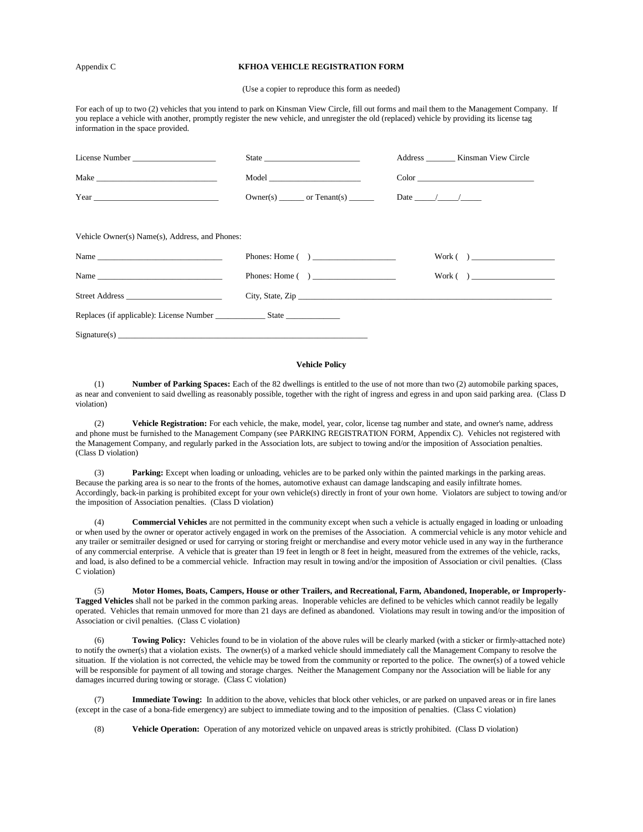#### Appendix C **KFHOA VEHICLE REGISTRATION FORM**

(Use a copier to reproduce this form as needed)

For each of up to two (2) vehicles that you intend to park on Kinsman View Circle, fill out forms and mail them to the Management Company. If you replace a vehicle with another, promptly register the new vehicle, and unregister the old (replaced) vehicle by providing its license tag information in the space provided.

|                                                |                           | Address _________ Kinsman View Circle |
|------------------------------------------------|---------------------------|---------------------------------------|
|                                                |                           | $Color \_\_\_\_\_\_\_$                |
|                                                | $Owner(s)$ or $Tenant(s)$ | Date $\frac{1}{\sqrt{2}}$             |
| Vehicle Owner(s) Name(s), Address, and Phones: |                           |                                       |
| Name                                           | Phones: Home $($ )        | Work( )                               |
| Name                                           | Phones: Home $($ )        | Work( )                               |
| Street Address                                 |                           |                                       |
|                                                |                           |                                       |
| Signature(s)                                   |                           |                                       |

#### **Vehicle Policy**

(1) **Number of Parking Spaces:** Each of the 82 dwellings is entitled to the use of not more than two (2) automobile parking spaces, as near and convenient to said dwelling as reasonably possible, together with the right of ingress and egress in and upon said parking area. (Class D violation)

(2) **Vehicle Registration:** For each vehicle, the make, model, year, color, license tag number and state, and owner's name, address and phone must be furnished to the Management Company (see PARKING REGISTRATION FORM, Appendix C). Vehicles not registered with the Management Company, and regularly parked in the Association lots, are subject to towing and/or the imposition of Association penalties. (Class D violation)

(3) **Parking:** Except when loading or unloading, vehicles are to be parked only within the painted markings in the parking areas. Because the parking area is so near to the fronts of the homes, automotive exhaust can damage landscaping and easily infiltrate homes. Accordingly, back-in parking is prohibited except for your own vehicle(s) directly in front of your own home. Violators are subject to towing and/or the imposition of Association penalties. (Class D violation)

(4) **Commercial Vehicles** are not permitted in the community except when such a vehicle is actually engaged in loading or unloading or when used by the owner or operator actively engaged in work on the premises of the Association. A commercial vehicle is any motor vehicle and any trailer or semitrailer designed or used for carrying or storing freight or merchandise and every motor vehicle used in any way in the furtherance of any commercial enterprise. A vehicle that is greater than 19 feet in length or 8 feet in height, measured from the extremes of the vehicle, racks, and load, is also defined to be a commercial vehicle. Infraction may result in towing and/or the imposition of Association or civil penalties. (Class C violation)

(5) **Motor Homes, Boats, Campers, House or other Trailers, and Recreational, Farm, Abandoned, Inoperable, or Improperly-Tagged Vehicles** shall not be parked in the common parking areas. Inoperable vehicles are defined to be vehicles which cannot readily be legally operated. Vehicles that remain unmoved for more than 21 days are defined as abandoned. Violations may result in towing and/or the imposition of Association or civil penalties. (Class C violation)

Towing Policy: Vehicles found to be in violation of the above rules will be clearly marked (with a sticker or firmly-attached note) to notify the owner(s) that a violation exists. The owner(s) of a marked vehicle should immediately call the Management Company to resolve the situation. If the violation is not corrected, the vehicle may be towed from the community or reported to the police. The owner(s) of a towed vehicle will be responsible for payment of all towing and storage charges. Neither the Management Company nor the Association will be liable for any damages incurred during towing or storage. (Class C violation)

(7) **Immediate Towing:** In addition to the above, vehicles that block other vehicles, or are parked on unpaved areas or in fire lanes (except in the case of a bona-fide emergency) are subject to immediate towing and to the imposition of penalties. (Class C violation)

(8) **Vehicle Operation:** Operation of any motorized vehicle on unpaved areas is strictly prohibited. (Class D violation)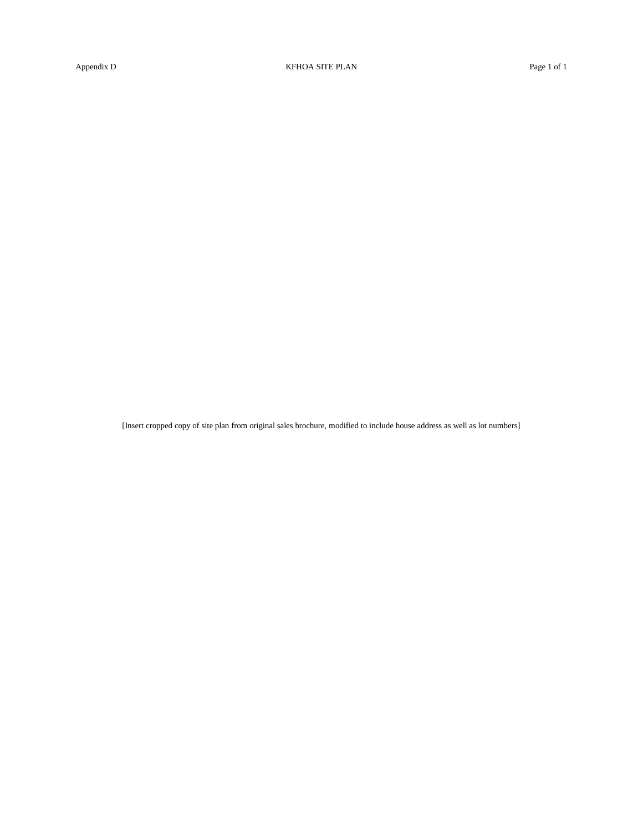[Insert cropped copy of site plan from original sales brochure, modified to include house address as well as lot numbers]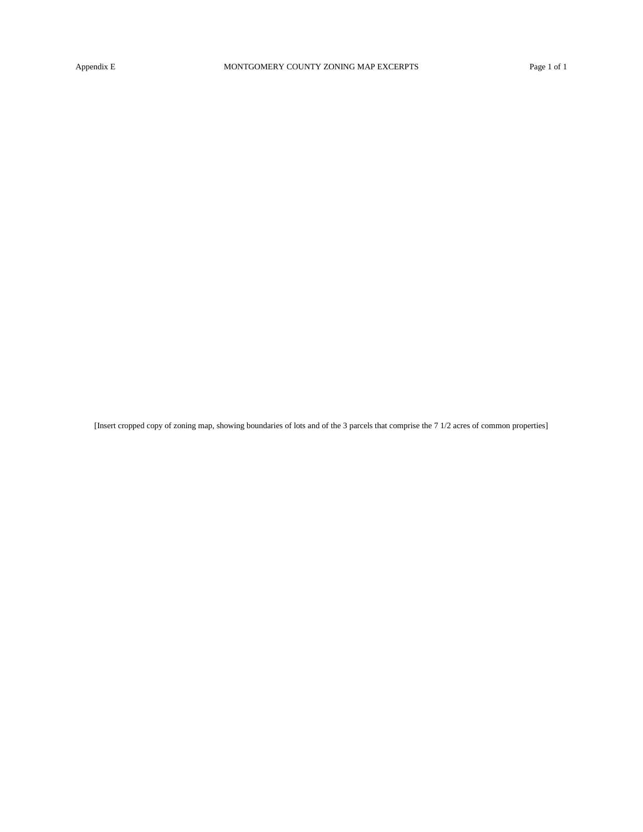[Insert cropped copy of zoning map, showing boundaries of lots and of the 3 parcels that comprise the 7 1/2 acres of common properties]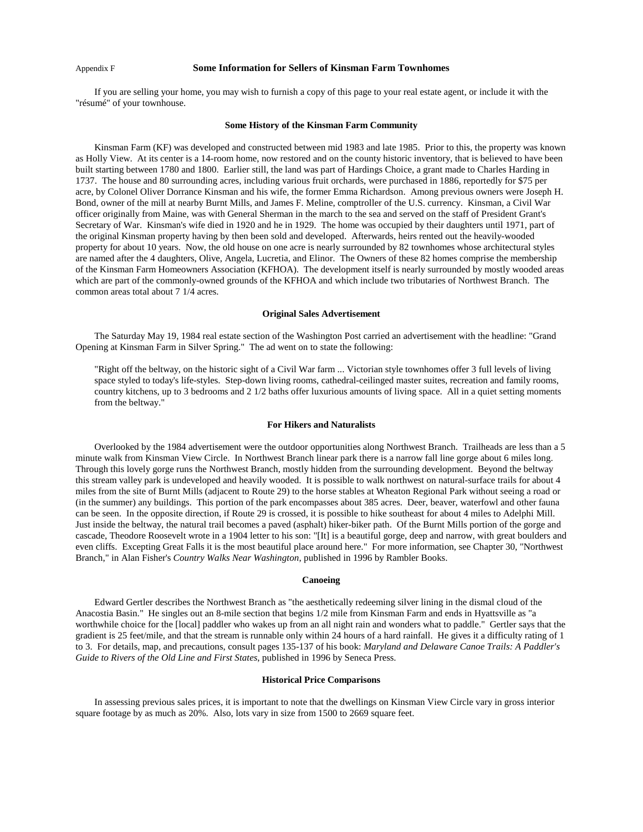#### Appendix F **Some Information for Sellers of Kinsman Farm Townhomes**

If you are selling your home, you may wish to furnish a copy of this page to your real estate agent, or include it with the "résumé" of your townhouse.

#### **Some History of the Kinsman Farm Community**

Kinsman Farm (KF) was developed and constructed between mid 1983 and late 1985. Prior to this, the property was known as Holly View. At its center is a 14-room home, now restored and on the county historic inventory, that is believed to have been built starting between 1780 and 1800. Earlier still, the land was part of Hardings Choice, a grant made to Charles Harding in 1737. The house and 80 surrounding acres, including various fruit orchards, were purchased in 1886, reportedly for \$75 per acre, by Colonel Oliver Dorrance Kinsman and his wife, the former Emma Richardson. Among previous owners were Joseph H. Bond, owner of the mill at nearby Burnt Mills, and James F. Meline, comptroller of the U.S. currency. Kinsman, a Civil War officer originally from Maine, was with General Sherman in the march to the sea and served on the staff of President Grant's Secretary of War. Kinsman's wife died in 1920 and he in 1929. The home was occupied by their daughters until 1971, part of the original Kinsman property having by then been sold and developed. Afterwards, heirs rented out the heavily-wooded property for about 10 years. Now, the old house on one acre is nearly surrounded by 82 townhomes whose architectural styles are named after the 4 daughters, Olive, Angela, Lucretia, and Elinor. The Owners of these 82 homes comprise the membership of the Kinsman Farm Homeowners Association (KFHOA). The development itself is nearly surrounded by mostly wooded areas which are part of the commonly-owned grounds of the KFHOA and which include two tributaries of Northwest Branch. The common areas total about 7 1/4 acres.

#### **Original Sales Advertisement**

The Saturday May 19, 1984 real estate section of the Washington Post carried an advertisement with the headline: "Grand Opening at Kinsman Farm in Silver Spring." The ad went on to state the following:

"Right off the beltway, on the historic sight of a Civil War farm ... Victorian style townhomes offer 3 full levels of living space styled to today's life-styles. Step-down living rooms, cathedral-ceilinged master suites, recreation and family rooms, country kitchens, up to 3 bedrooms and 2 1/2 baths offer luxurious amounts of living space. All in a quiet setting moments from the beltway."

#### **For Hikers and Naturalists**

Overlooked by the 1984 advertisement were the outdoor opportunities along Northwest Branch. Trailheads are less than a 5 minute walk from Kinsman View Circle. In Northwest Branch linear park there is a narrow fall line gorge about 6 miles long. Through this lovely gorge runs the Northwest Branch, mostly hidden from the surrounding development. Beyond the beltway this stream valley park is undeveloped and heavily wooded. It is possible to walk northwest on natural-surface trails for about 4 miles from the site of Burnt Mills (adjacent to Route 29) to the horse stables at Wheaton Regional Park without seeing a road or (in the summer) any buildings. This portion of the park encompasses about 385 acres. Deer, beaver, waterfowl and other fauna can be seen. In the opposite direction, if Route 29 is crossed, it is possible to hike southeast for about 4 miles to Adelphi Mill. Just inside the beltway, the natural trail becomes a paved (asphalt) hiker-biker path. Of the Burnt Mills portion of the gorge and cascade, Theodore Roosevelt wrote in a 1904 letter to his son: "[It] is a beautiful gorge, deep and narrow, with great boulders and even cliffs. Excepting Great Falls it is the most beautiful place around here." For more information, see Chapter 30, "Northwest Branch," in Alan Fisher's *Country Walks Near Washington*, published in 1996 by Rambler Books.

#### **Canoeing**

Edward Gertler describes the Northwest Branch as "the aesthetically redeeming silver lining in the dismal cloud of the Anacostia Basin." He singles out an 8-mile section that begins 1/2 mile from Kinsman Farm and ends in Hyattsville as "a worthwhile choice for the [local] paddler who wakes up from an all night rain and wonders what to paddle." Gertler says that the gradient is 25 feet/mile, and that the stream is runnable only within 24 hours of a hard rainfall. He gives it a difficulty rating of 1 to 3. For details, map, and precautions, consult pages 135-137 of his book: *Maryland and Delaware Canoe Trails: A Paddler's Guide to Rivers of the Old Line and First States*, published in 1996 by Seneca Press.

#### **Historical Price Comparisons**

In assessing previous sales prices, it is important to note that the dwellings on Kinsman View Circle vary in gross interior square footage by as much as 20%. Also, lots vary in size from 1500 to 2669 square feet.